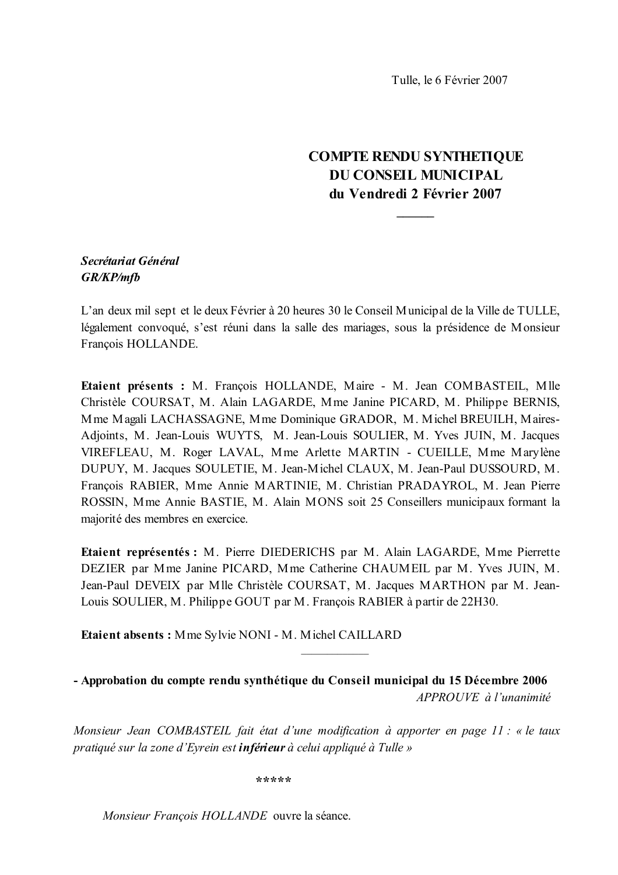Tulle, le 6 Février 2007

# **COMPTE RENDU SYNTHETIQUE DU CONSEIL MUNICIPAL** du Vendredi 2 Février 2007

# Secrétariat Général **GR/KP/mfb**

L'an deux mil sept et le deux Février à 20 heures 30 le Conseil Municipal de la Ville de TULLE, légalement convoqué, s'est réuni dans la salle des mariages, sous la présidence de Monsieur François HOLLANDE.

Etaient présents : M. François HOLLANDE, Maire - M. Jean COMBASTEIL, Mlle Christèle COURSAT, M. Alain LAGARDE, Mme Janine PICARD, M. Philippe BERNIS, Mme Magali LACHASSAGNE, Mme Dominique GRADOR, M. Michel BREUILH, Maires-Adjoints, M. Jean-Louis WUYTS, M. Jean-Louis SOULIER, M. Yves JUIN, M. Jacques VIREFLEAU, M. Roger LAVAL, Mme Arlette MARTIN - CUEILLE, Mme Marylène DUPUY, M. Jacques SOULETIE, M. Jean-Michel CLAUX, M. Jean-Paul DUSSOURD, M. François RABIER, Mme Annie MARTINIE, M. Christian PRADAYROL, M. Jean Pierre ROSSIN, Mme Annie BASTIE, M. Alain MONS soit 25 Conseillers municipaux formant la majorité des membres en exercice.

Etaient représentés : M. Pierre DIEDERICHS par M. Alain LAGARDE, Mme Pierrette DEZIER par Mme Janine PICARD, Mme Catherine CHAUMEIL par M. Yves JUIN, M. Jean-Paul DEVEIX par Mlle Christèle COURSAT, M. Jacques MARTHON par M. Jean-Louis SOULIER, M. Philippe GOUT par M. François RABIER à partir de 22H30.

Etaient absents: Mme Sylvie NONI - M. Michel CAILLARD

- Approbation du compte rendu synthétique du Conseil municipal du 15 Décembre 2006 APPROUVE à l'unanimité

Monsieur Jean COMBASTEIL fait état d'une modification à apporter en page 11 : « le taux pratiqué sur la zone d'Eyrein est **inférieur** à celui appliqué à Tulle »

\*\*\*\*\*

Monsieur Francois HOLLANDE ouvre la séance.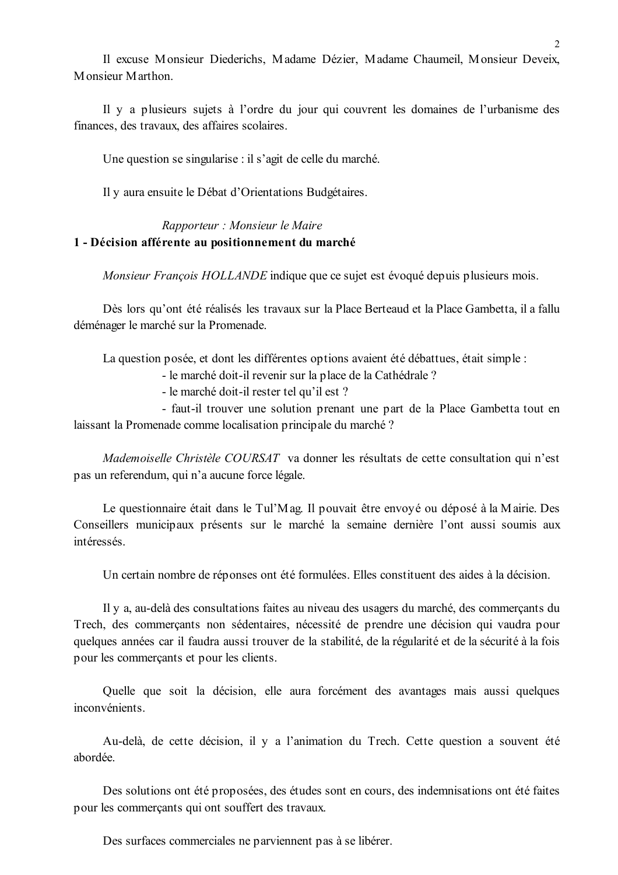Il excuse Monsieur Diederichs, Madame Dézier, Madame Chaumeil, Monsieur Deveix, Monsieur Marthon

Il y a plusieurs sujets à l'ordre du jour qui couvrent les domaines de l'urbanisme des finances, des travaux, des affaires scolaires.

Une question se singularise : il s'agit de celle du marché.

Il y aura ensuite le Débat d'Orientations Budgétaires.

### Rapporteur : Monsieur le Maire 1 - Décision afférente au positionnement du marché

Monsieur François HOLLANDE indique que ce sujet est évoqué depuis plusieurs mois.

Dès lors qu'ont été réalisés les travaux sur la Place Berteaud et la Place Gambetta, il a fallu déménager le marché sur la Promenade.

La question posée, et dont les différentes options avaient été débattues, était simple :

- le marché doit-il revenir sur la place de la Cathédrale ?

- le marché doit-il rester tel qu'il est ?

- faut-il trouver une solution prenant une part de la Place Gambetta tout en laissant la Promenade comme localisation principale du marché ?

Mademoiselle Christèle COURSAT va donner les résultats de cette consultation qui n'est pas un referendum, qui n'a aucune force légale.

Le questionnaire était dans le Tul'Mag. Il pouvait être envoyé ou déposé à la Mairie. Des Conseillers municipaux présents sur le marché la semaine dernière l'ont aussi soumis aux intéressés.

Un certain nombre de réponses ont été formulées. Elles constituent des aides à la décision.

Il y a, au-delà des consultations faites au niveau des usagers du marché, des commerçants du Trech, des commerçants non sédentaires, nécessité de prendre une décision qui vaudra pour quelques années car il faudra aussi trouver de la stabilité, de la régularité et de la sécurité à la fois pour les commerçants et pour les clients.

Quelle que soit la décision, elle aura forcément des avantages mais aussi quelques inconvénients.

Au-delà, de cette décision, il y a l'animation du Trech. Cette question a souvent été abordée

Des solutions ont été proposées, des études sont en cours, des indemnisations ont été faites pour les commerçants qui ont souffert des travaux.

Des surfaces commerciales ne parviennent pas à se libérer.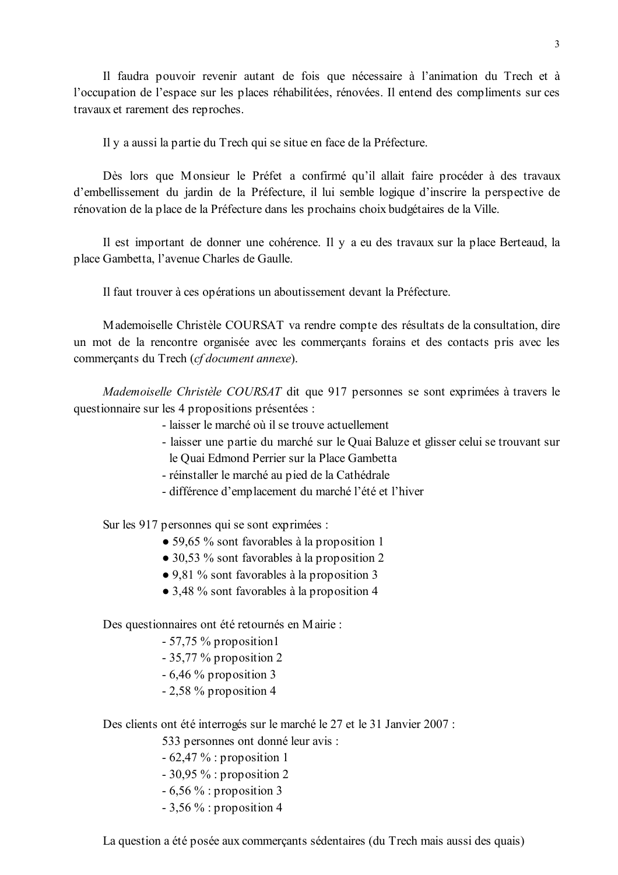Il faudra pouvoir revenir autant de fois que nécessaire à l'animation du Trech et à l'occupation de l'espace sur les places réhabilitées, rénovées. Il entend des compliments sur ces travaux et rarement des reproches.

Il y a aussi la partie du Trech qui se situe en face de la Préfecture.

Dès lors que Monsieur le Préfet a confirmé qu'il allait faire procéder à des travaux d'embellissement du jardin de la Préfecture, il lui semble logique d'inscrire la perspective de rénovation de la place de la Préfecture dans les prochains choix budgétaires de la Ville.

Il est important de donner une cohérence. Il y a eu des travaux sur la place Berteaud, la place Gambetta, l'avenue Charles de Gaulle.

Il faut trouver à ces opérations un aboutissement devant la Préfecture.

Mademoiselle Christèle COURSAT va rendre compte des résultats de la consultation, dire un mot de la rencontre organisée avec les commerçants forains et des contacts pris avec les commercants du Trech (cf document annexe).

Mademoiselle Christèle COURSAT dit que 917 personnes se sont exprimées à travers le questionnaire sur les 4 propositions présentées :

- laisser le marché où il se trouve actuellement
- laisser une partie du marché sur le Quai Baluze et glisser celui se trouvant sur le Quai Edmond Perrier sur la Place Gambetta
- réinstaller le marché au pied de la Cathédrale
- différence d'emplacement du marché l'été et l'hiver

Sur les 917 personnes qui se sont exprimées :

- 59,65 % sont favorables à la proposition 1
- 30,53 % sont favorables à la proposition 2
- $\bullet$  9.81 % sont favorables à la proposition 3
- 3,48 % sont favorables à la proposition 4

Des questionnaires ont été retournés en Mairie :

- $-57,75%$  proposition1
- $-35,77\%$  proposition 2
- $-6,46\%$  proposition 3
- $-2,58\%$  proposition 4

Des clients ont été interrogés sur le marché le 27 et le 31 Janvier 2007 :

533 personnes ont donné leur avis :

- $-62,47\%$ : proposition 1
- $-30,95\%$ : proposition 2
- $-6,56\%$ : proposition 3
- $-3,56\%$ : proposition 4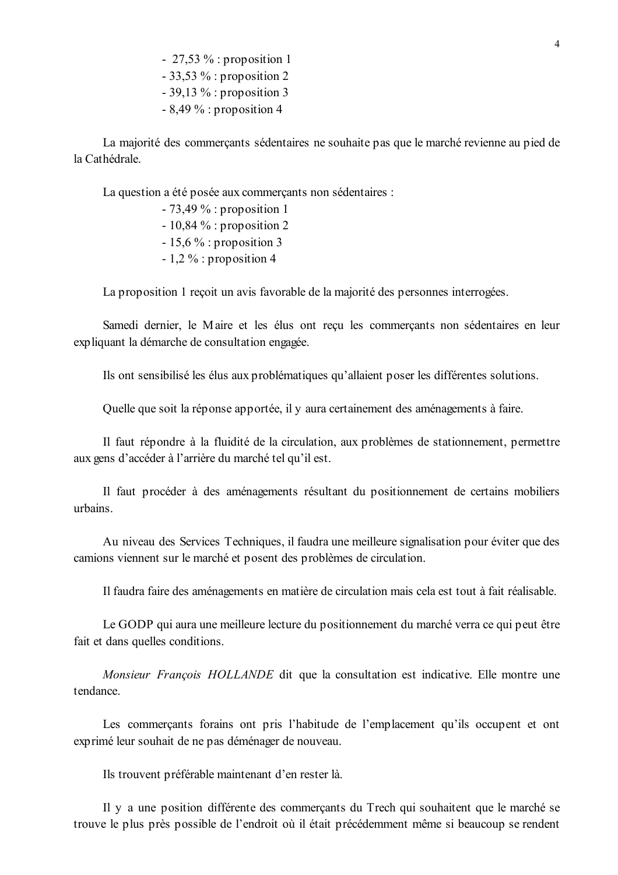- 27,53  $\%$ : proposition 1

 $-33,53\%$ : proposition 2

 $-39.13\%$ : proposition 3

 $-8.49\%$ : proposition 4

La majorité des commercants sédentaires ne souhaite pas que le marché revienne au pied de la Cathédrale

La question a été posée aux commerçants non sédentaires :

- $-73,49\%$ : proposition 1
- $-10.84\%$ : proposition 2
- $-15,6\%$ : proposition 3
- $-1.2\%$ : proposition 4

La proposition 1 recoit un avis favorable de la majorité des personnes interrogées.

Samedi dernier, le Maire et les élus ont recu les commercants non sédentaires en leur expliquant la démarche de consultation engagée.

Ils ont sensibilisé les élus aux problématiques qu'allaient poser les différentes solutions.

Quelle que soit la réponse apportée, il y aura certainement des aménagements à faire.

Il faut répondre à la fluidité de la circulation, aux problèmes de stationnement, permettre aux gens d'accéder à l'arrière du marché tel qu'il est.

Il faut procéder à des aménagements résultant du positionnement de certains mobiliers urbains

Au niveau des Services Techniques, il faudra une meilleure signalisation pour éviter que des camions viennent sur le marché et posent des problèmes de circulation.

Il faudra faire des aménagements en matière de circulation mais cela est tout à fait réalisable.

Le GODP qui aura une meilleure lecture du positionnement du marché verra ce qui peut être fait et dans quelles conditions.

Monsieur François HOLLANDE dit que la consultation est indicative. Elle montre une tendance

Les commerçants forains ont pris l'habitude de l'emplacement qu'ils occupent et ont exprimé leur souhait de ne pas déménager de nouveau.

Ils trouvent préférable maintenant d'en rester là.

Il y a une position différente des commerçants du Trech qui souhaitent que le marché se trouve le plus près possible de l'endroit où il était précédemment même si beaucoup se rendent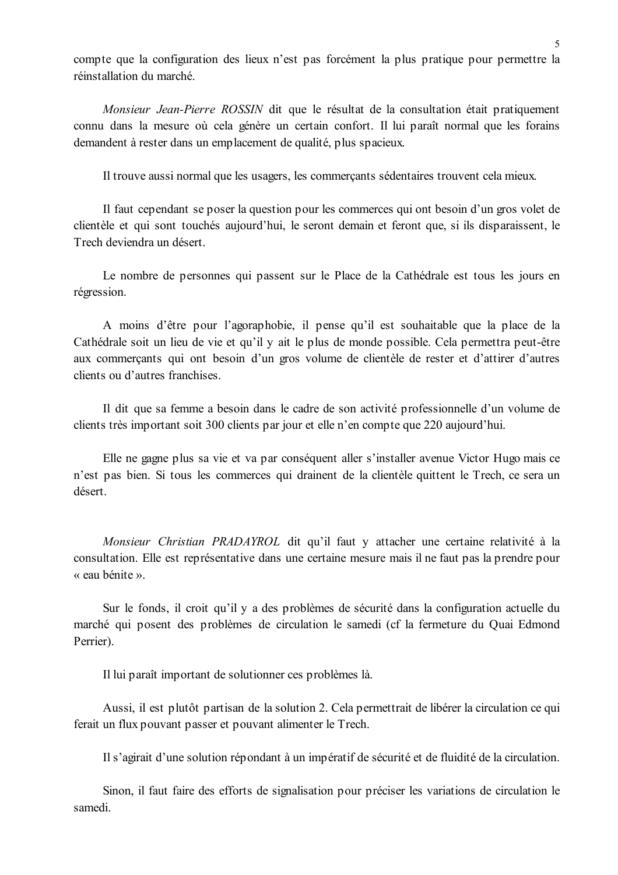compte que la configuration des lieux n'est pas forcément la plus pratique pour permettre la réinstallation du marché

Monsieur Jean-Pierre ROSSIN dit que le résultat de la consultation était pratiquement connu dans la mesure où cela génère un certain confort. Il lui paraît normal que les forains demandent à rester dans un emplacement de qualité, plus spacieux.

Il trouve aussi normal que les usagers, les commerçants sédentaires trouvent cela mieux.

Il faut cependant se poser la question pour les commerces qui ont besoin d'un gros volet de clientèle et qui sont touchés aujourd'hui, le seront demain et feront que, si ils disparaissent, le Trech deviendra un désert.

Le nombre de personnes qui passent sur le Place de la Cathédrale est tous les jours en régression.

A moins d'être pour l'agoraphobie, il pense qu'il est souhaitable que la place de la Cathédrale soit un lieu de vie et qu'il y ait le plus de monde possible. Cela permettra peut-être aux commercants qui ont besoin d'un gros volume de clientèle de rester et d'attirer d'autres clients ou d'autres franchises.

Il dit que sa femme a besoin dans le cadre de son activité professionnelle d'un volume de clients très important soit 300 clients par jour et elle n'en compte que 220 aujourd'hui.

Elle ne gagne plus sa vie et va par conséquent aller s'installer avenue Victor Hugo mais ce n'est pas bien. Si tous les commerces qui drainent de la clientèle quittent le Trech, ce sera un désert.

Monsieur Christian PRADAYROL dit qu'il faut y attacher une certaine relativité à la consultation. Elle est représentative dans une certaine mesure mais il ne faut pas la prendre pour « eau bénite ».

Sur le fonds, il croit qu'il y a des problèmes de sécurité dans la configuration actuelle du marché qui posent des problèmes de circulation le samedi (cf la fermeture du Quai Edmond Perrier).

Il lui paraît important de solutionner ces problèmes là.

Aussi, il est plutôt partisan de la solution 2. Cela permettrait de libérer la circulation ce qui ferait un flux pouvant passer et pouvant alimenter le Trech.

Il s'agirait d'une solution répondant à un impératif de sécurité et de fluidité de la circulation.

Sinon, il faut faire des efforts de signalisation pour préciser les variations de circulation le samedi.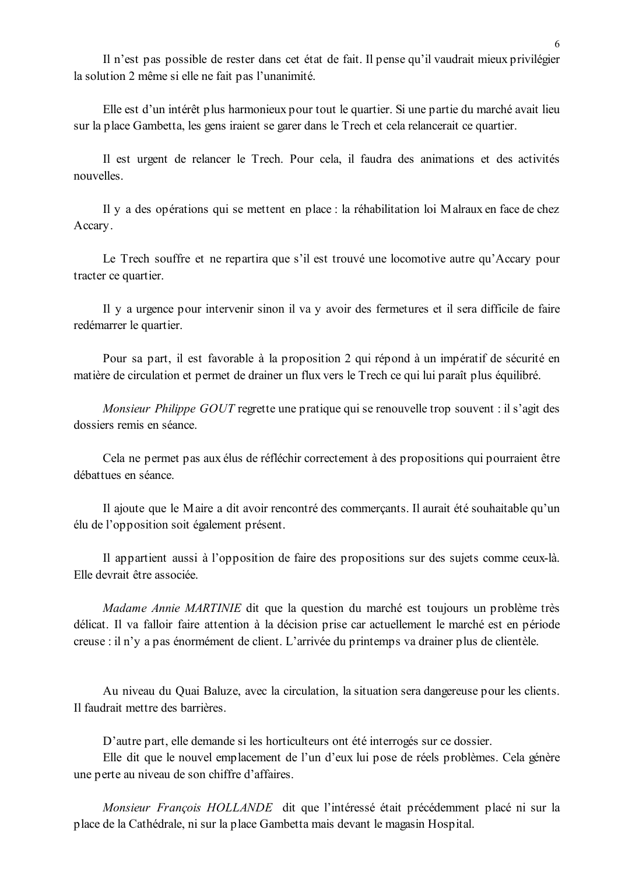Il n'est pas possible de rester dans cet état de fait. Il pense qu'il vaudrait mieux privilégier la solution 2 même si elle ne fait pas l'unanimité.

Elle est d'un intérêt plus harmonieux pour tout le quartier. Si une partie du marché avait lieu sur la place Gambetta, les gens iraient se garer dans le Trech et cela relancerait ce quartier.

Il est urgent de relancer le Trech. Pour cela, il faudra des animations et des activités nouvelles.

Il y a des opérations qui se mettent en place : la réhabilitation loi Malraux en face de chez Accary.

Le Trech souffre et ne repartira que s'il est trouvé une locomotive autre qu'Accary pour tracter ce quartier.

Il y a urgence pour intervenir sinon il va y avoir des fermetures et il sera difficile de faire redémarrer le quartier.

Pour sa part, il est favorable à la proposition 2 qui répond à un impératif de sécurité en matière de circulation et permet de drainer un flux vers le Trech ce qui lui paraît plus équilibré.

Monsieur Philippe GOUT regrette une pratique qui se renouvelle trop souvent : il s'agit des dossiers remis en séance.

Cela ne permet pas aux élus de réfléchir correctement à des propositions qui pourraient être débattues en séance.

Il ajoute que le Maire a dit avoir rencontré des commerçants. Il aurait été souhaitable qu'un élu de l'opposition soit également présent.

Il appartient aussi à l'opposition de faire des propositions sur des sujets comme ceux-là. Elle devrait être associée.

Madame Annie MARTINIE dit que la question du marché est toujours un problème très délicat. Il va falloir faire attention à la décision prise car actuellement le marché est en période creuse : il n'y a pas énormément de client. L'arrivée du printemps va drainer plus de clientèle.

Au niveau du Ouai Baluze, avec la circulation, la situation sera dangereuse pour les clients. Il faudrait mettre des barrières.

D'autre part, elle demande si les horticulteurs ont été interrogés sur ce dossier.

Elle dit que le nouvel emplacement de l'un d'eux lui pose de réels problèmes. Cela génère une perte au niveau de son chiffre d'affaires.

Monsieur François HOLLANDE dit que l'intéressé était précédemment placé ni sur la place de la Cathédrale, ni sur la place Gambetta mais devant le magasin Hospital.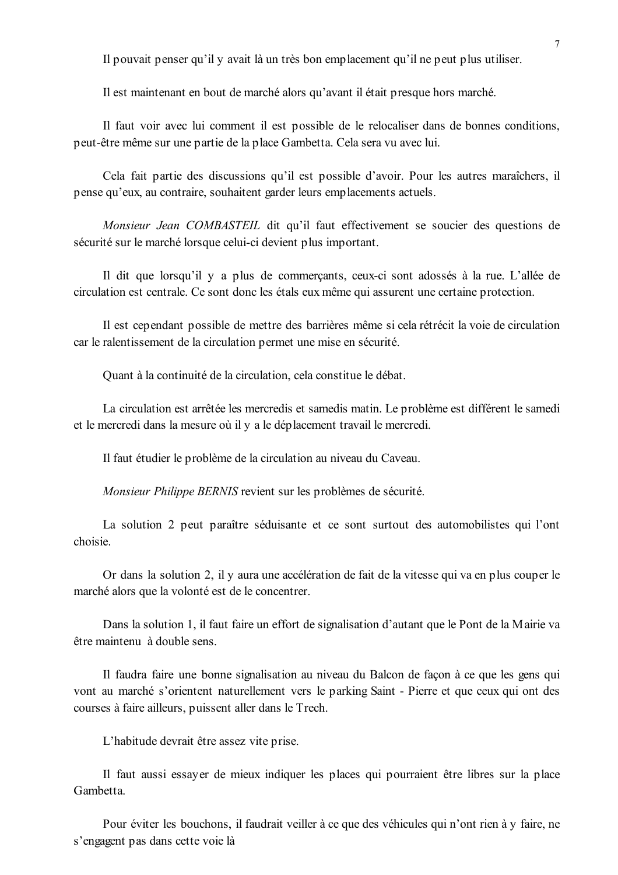Il pouvait penser qu'il y avait là un très bon emplacement qu'il ne peut plus utiliser.

Il est maintenant en bout de marché alors qu'avant il était presque hors marché.

Il faut voir avec lui comment il est possible de le relocaliser dans de bonnes conditions, peut-être même sur une partie de la place Gambetta. Cela sera vu avec lui.

Cela fait partie des discussions qu'il est possible d'avoir. Pour les autres maraîchers, il pense qu'eux, au contraire, souhaitent garder leurs emplacements actuels.

Monsieur Jean COMBASTEIL dit qu'il faut effectivement se soucier des questions de sécurité sur le marché lorsque celui-ci devient plus important.

Il dit que lorsqu'il y a plus de commerçants, ceux-ci sont adossés à la rue. L'allée de circulation est centrale. Ce sont donc les étals eux même qui assurent une certaine protection.

Il est cependant possible de mettre des barrières même si cela rétrécit la voie de circulation car le ralentissement de la circulation permet une mise en sécurité.

Quant à la continuité de la circulation, cela constitue le débat.

La circulation est arrêtée les mercredis et samedis matin. Le problème est différent le samedi et le mercredi dans la mesure où il y a le déplacement travail le mercredi.

Il faut étudier le problème de la circulation au niveau du Caveau.

Monsieur Philippe BERNIS revient sur les problèmes de sécurité.

La solution 2 peut paraître séduisante et ce sont surtout des automobilistes qui l'ont choisie.

Or dans la solution 2, il y aura une accélération de fait de la vitesse qui va en plus couper le marché alors que la volonté est de le concentrer.

Dans la solution 1, il faut faire un effort de signalisation d'autant que le Pont de la Mairie va être maintenu à double sens.

Il faudra faire une bonne signalisation au niveau du Balcon de façon à ce que les gens qui vont au marché s'orientent naturellement vers le parking Saint - Pierre et que ceux qui ont des courses à faire ailleurs, puissent aller dans le Trech.

L'habitude devrait être assez vite prise.

Il faut aussi essayer de mieux indiquer les places qui pourraient être libres sur la place Gambetta

Pour éviter les bouchons, il faudrait veiller à ce que des véhicules qui n'ont rien à y faire, ne s'engagent pas dans cette voie là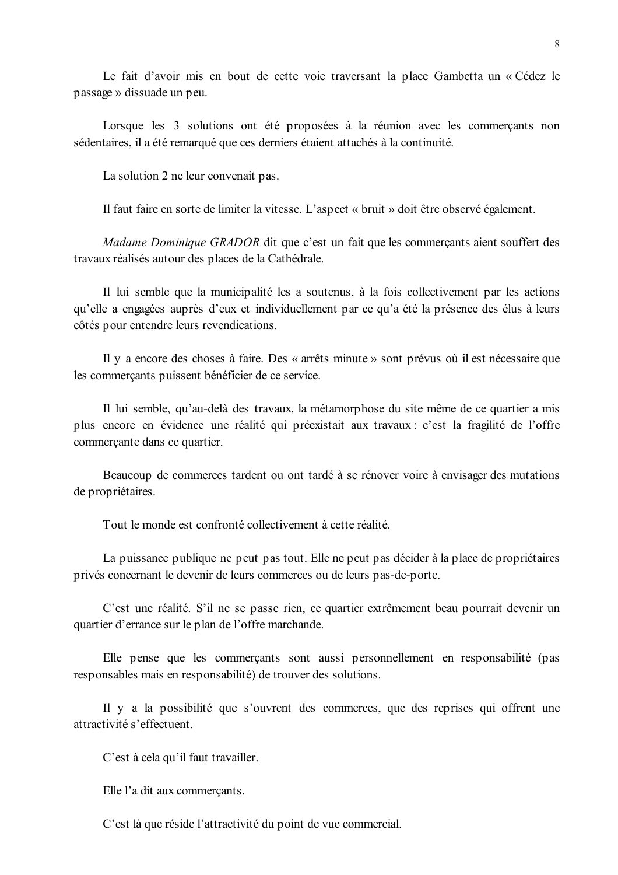Le fait d'avoir mis en bout de cette voie traversant la place Gambetta un « Cédez le passage » dissuade un peu.

Lorsque les 3 solutions ont été proposées à la réunion avec les commerçants non sédentaires, il a été remarqué que ces derniers étaient attachés à la continuité.

La solution 2 ne leur convenait pas.

Il faut faire en sorte de limiter la vitesse. L'aspect « bruit » doit être observé également.

*Madame Dominique GRADOR* dit que c'est un fait que les commerçants aient souffert des travaux réalisés autour des places de la Cathédrale.

Il lui semble que la municipalité les a soutenus, à la fois collectivement par les actions qu'elle a engagées auprès d'eux et individuellement par ce qu'a été la présence des élus à leurs côtés pour entendre leurs revendications.

Il y a encore des choses à faire. Des « arrêts minute » sont prévus où il est nécessaire que les commerçants puissent bénéficier de ce service.

Il lui semble, qu'au-delà des travaux, la métamorphose du site même de ce quartier a mis plus encore en évidence une réalité qui préexistait aux travaux : c'est la fragilité de l'offre commerçante dans ce quartier.

Beaucoup de commerces tardent ou ont tardé à se rénover voire à envisager des mutations de propriétaires.

Tout le monde est confronté collectivement à cette réalité.

La puissance publique ne peut pas tout. Elle ne peut pas décider à la place de propriétaires privés concernant le devenir de leurs commerces ou de leurs pas-de-porte.

C'est une réalité. S'il ne se passe rien, ce quartier extrêmement beau pourrait devenir un quartier d'errance sur le plan de l'offre marchande.

Elle pense que les commerçants sont aussi personnellement en responsabilité (pas responsables mais en responsabilité) de trouver des solutions.

Il y a la possibilité que s'ouvrent des commerces, que des reprises qui offrent une attractivité s'effectuent.

C'est à cela qu'il faut travailler.

Elle l'a dit aux commercants.

C'est là que réside l'attractivité du point de vue commercial.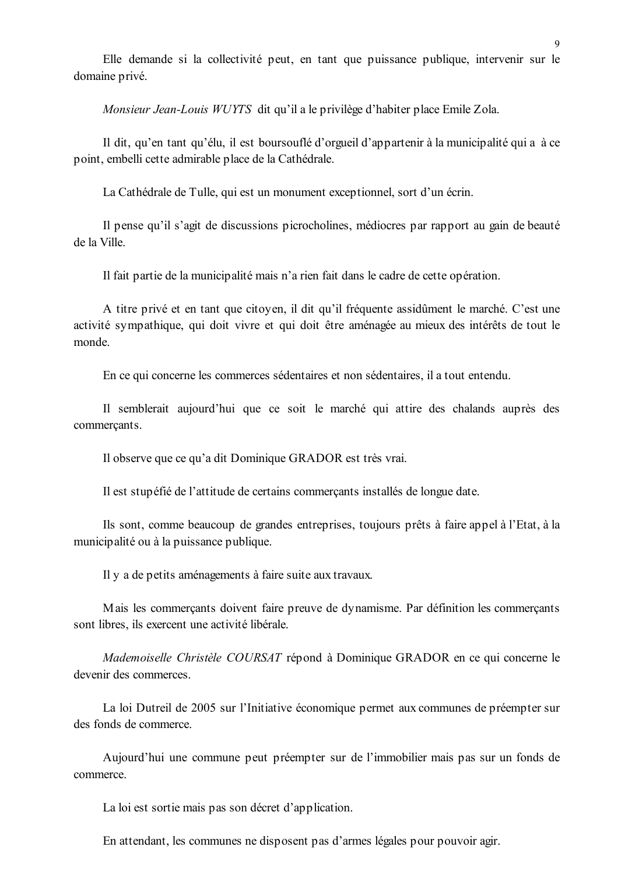Elle demande si la collectivité peut, en tant que puissance publique, intervenir sur le domaine privé.

Monsieur Jean-Louis WUYTS dit qu'il a le privilège d'habiter place Emile Zola.

Il dit, qu'en tant qu'élu, il est boursouflé d'orgueil d'appartenir à la municipalité qui a à ce point, embelli cette admirable place de la Cathédrale.

La Cathédrale de Tulle, qui est un monument exceptionnel, sort d'un écrin.

Il pense qu'il s'agit de discussions picrocholines, médiocres par rapport au gain de beauté de la Ville.

Il fait partie de la municipalité mais n'a rien fait dans le cadre de cette opération.

A titre privé et en tant que citoyen, il dit qu'il fréquente assidûment le marché. C'est une activité sympathique, qui doit vivre et qui doit être aménagée au mieux des intérêts de tout le monde

En ce qui concerne les commerces sédentaires et non sédentaires, il a tout entendu.

Il semblerait aujourd'hui que ce soit le marché qui attire des chalands auprès des commercants.

Il observe que ce qu'a dit Dominique GRADOR est très vrai.

Il est stupéfié de l'attitude de certains commerçants installés de longue date.

Ils sont, comme beaucoup de grandes entreprises, toujours prêts à faire appel à l'Etat, à la municipalité ou à la puissance publique.

Il y a de petits aménagements à faire suite aux travaux.

Mais les commerçants doivent faire preuve de dynamisme. Par définition les commerçants sont libres, ils exercent une activité libérale.

Mademoiselle Christèle COURSAT répond à Dominique GRADOR en ce qui concerne le devenir des commerces.

La loi Dutreil de 2005 sur l'Initiative économique permet aux communes de préempter sur des fonds de commerce

Aujourd'hui une commune peut préempter sur de l'immobilier mais pas sur un fonds de commerce.

La loi est sortie mais pas son décret d'application.

En attendant, les communes ne disposent pas d'armes légales pour pouvoir agir.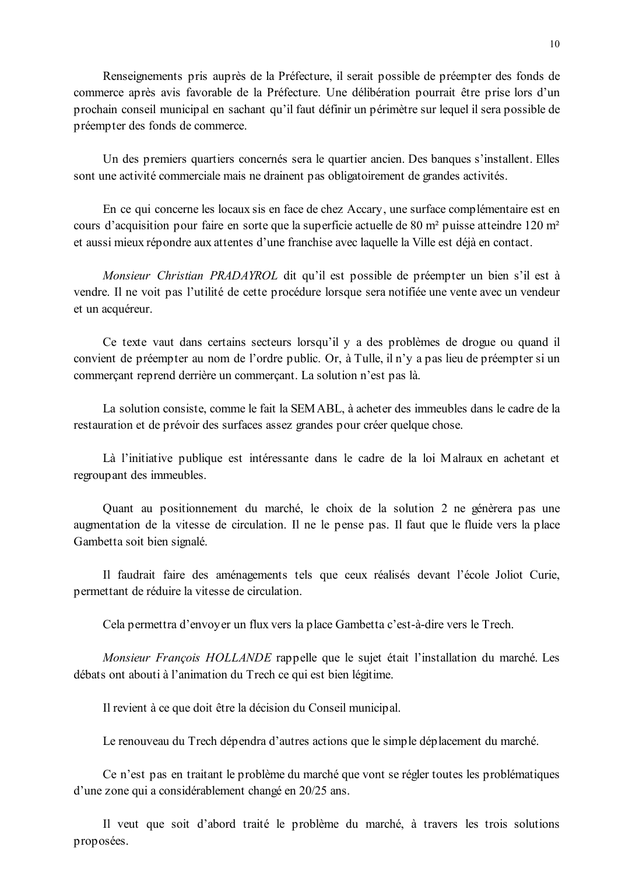Renseignements pris auprès de la Préfecture, il serait possible de préempter des fonds de commerce après avis favorable de la Préfecture. Une délibération pourrait être prise lors d'un prochain conseil municipal en sachant qu'il faut définir un périmètre sur lequel il sera possible de préempter des fonds de commerce.

Un des premiers quartiers concernés sera le quartier ancien. Des banques s'installent. Elles sont une activité commerciale mais ne drainent pas obligatoirement de grandes activités.

En ce qui concerne les locaux sis en face de chez Accary, une surface complémentaire est en cours d'acquisition pour faire en sorte que la superficie actuelle de 80 m<sup>2</sup> puisse atteindre 120 m<sup>2</sup> et aussi mieux répondre aux attentes d'une franchise avec laquelle la Ville est déjà en contact.

Monsieur Christian PRADAYROL dit qu'il est possible de préempter un bien s'il est à vendre. Il ne voit pas l'utilité de cette procédure lorsque sera notifiée une vente avec un vendeur et un acquéreur.

Ce texte vaut dans certains secteurs lorsqu'il y a des problèmes de drogue ou quand il convient de préempter au nom de l'ordre public. Or, à Tulle, il n'y a pas lieu de préempter si un commerçant reprend derrière un commerçant. La solution n'est pas là.

La solution consiste, comme le fait la SEMABL, à acheter des immeubles dans le cadre de la restauration et de prévoir des surfaces assez grandes pour créer quelque chose.

Là l'initiative publique est intéressante dans le cadre de la loi Malraux en achetant et regroup ant des immeubles.

Quant au positionnement du marché, le choix de la solution 2 ne génèrera pas une augmentation de la vitesse de circulation. Il ne le pense pas. Il faut que le fluide vers la place Gambetta soit bien signalé.

Il faudrait faire des aménagements tels que ceux réalisés devant l'école Joliot Curie, permettant de réduire la vitesse de circulation.

Cela permettra d'envoyer un flux vers la place Gambetta c'est-à-dire vers le Trech.

Monsieur François HOLLANDE rappelle que le sujet était l'installation du marché. Les débats ont abouti à l'animation du Trech ce qui est bien légitime.

Il revient à ce que doit être la décision du Conseil municipal.

Le renouveau du Trech dépendra d'autres actions que le simple déplacement du marché.

Ce n'est pas en traitant le problème du marché que vont se régler toutes les problématiques d'une zone qui a considérablement changé en 20/25 ans.

Il veut que soit d'abord traité le problème du marché, à travers les trois solutions proposées.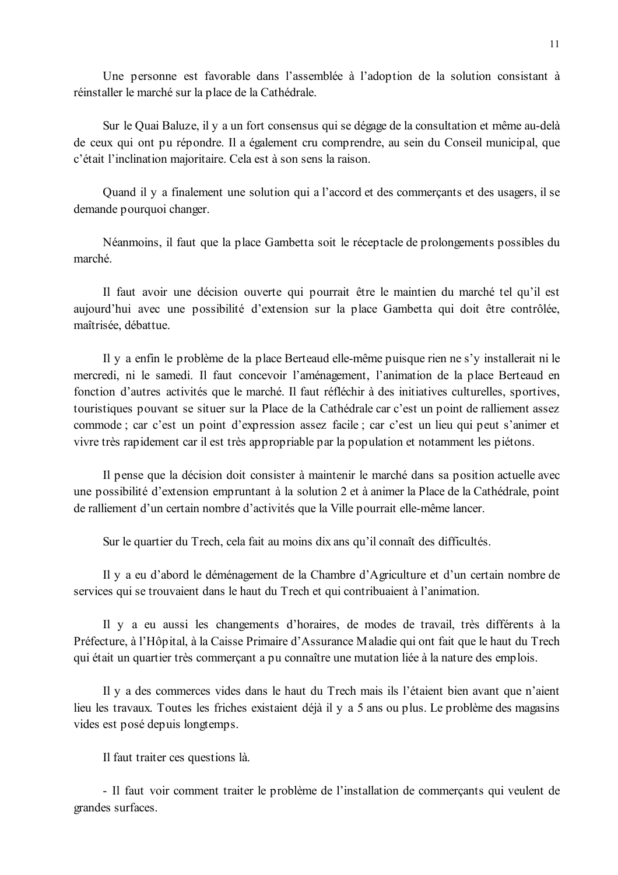Une personne est favorable dans l'assemblée à l'adoption de la solution consistant à réinstaller le marché sur la place de la Cathédrale.

Sur le Quai Baluze, il y a un fort consensus qui se dégage de la consultation et même au-delà de ceux qui ont pu répondre. Il a également cru comprendre, au sein du Conseil municipal, que c'était l'inclination majoritaire. Cela est à son sens la raison.

Quand il y a finalement une solution qui a l'accord et des commercants et des usagers, il se demande pourquoi changer.

Néanmoins, il faut que la place Gambetta soit le réceptacle de prolongements possibles du marché

Il faut avoir une décision ouverte qui pourrait être le maintien du marché tel qu'il est aujourd'hui avec une possibilité d'extension sur la place Gambetta qui doit être contrôlée, maîtrisée, débattue.

Il y a enfin le problème de la place Berteaud elle-même puisque rien ne s'y installerait ni le mercredi, ni le samedi. Il faut concevoir l'aménagement, l'animation de la place Berteaud en fonction d'autres activités que le marché. Il faut réfléchir à des initiatives culturelles, sportives, touristiques pouvant se situer sur la Place de la Cathédrale car c'est un point de ralliement assez commode; car c'est un point d'expression assez facile; car c'est un lieu qui peut s'animer et vivre très rapidement car il est très appropriable par la population et notamment les piétons.

Il pense que la décision doit consister à maintenir le marché dans sa position actuelle avec une possibilité d'extension empruntant à la solution 2 et à animer la Place de la Cathédrale, point de ralliement d'un certain nombre d'activités que la Ville pourrait elle-même lancer.

Sur le quartier du Trech, cela fait au moins dix ans qu'il connaît des difficultés.

Il y a eu d'abord le déménagement de la Chambre d'Agriculture et d'un certain nombre de services qui se trouvaient dans le haut du Trech et qui contribuaient à l'animation.

Il y a eu aussi les changements d'horaires, de modes de travail, très différents à la Préfecture, à l'Hôpital, à la Caisse Primaire d'Assurance Maladie qui ont fait que le haut du Trech qui était un quartier très commerçant a pu connaître une mutation liée à la nature des emplois.

Il y a des commerces vides dans le haut du Trech mais ils l'étaient bien avant que n'aient lieu les travaux. Toutes les friches existaient déjà il y a 5 ans ou plus. Le problème des magasins vides est posé depuis longtemps.

Il faut traiter ces questions là.

- Il faut voir comment traiter le problème de l'installation de commercants qui veulent de grandes surfaces.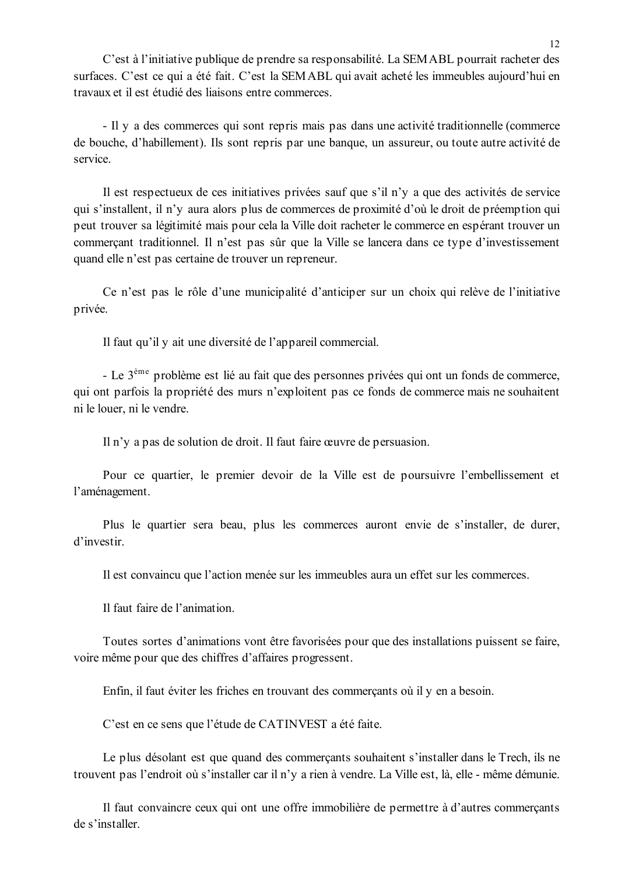C'est à l'initiative publique de prendre sa responsabilité. La SEMABL pourrait racheter des surfaces. C'est ce qui a été fait. C'est la SEMABL qui avait acheté les immeubles aujourd'hui en travaux et il est étudié des liaisons entre commerces.

- Il y a des commerces qui sont repris mais pas dans une activité traditionnelle (commerce) de bouche, d'habillement). Ils sont repris par une banque, un assureur, ou toute autre activité de service

Il est respectueux de ces initiatives privées sauf que s'il n'y a que des activités de service qui s'installent, il n'y aura alors plus de commerces de proximité d'où le droit de préemption qui peut trouver sa légitimité mais pour cela la Ville doit racheter le commerce en espérant trouver un commerçant traditionnel. Il n'est pas sûr que la Ville se lancera dans ce type d'investissement quand elle n'est pas certaine de trouver un repreneur.

Ce n'est pas le rôle d'une municipalité d'anticiper sur un choix qui relève de l'initiative privée.

Il faut qu'il y ait une diversité de l'appareil commercial.

- Le 3<sup>ème</sup> problème est lié au fait que des personnes privées qui ont un fonds de commerce, qui ont parfois la propriété des murs n'exploitent pas ce fonds de commerce mais ne souhaitent ni le louer, ni le vendre.

Il n'y a pas de solution de droit. Il faut faire œuvre de persuasion.

Pour ce quartier, le premier devoir de la Ville est de poursuivre l'embellissement et l'aménagement.

Plus le quartier sera beau, plus les commerces auront envie de s'installer, de durer, d'investir.

Il est convaincu que l'action menée sur les immeubles aura un effet sur les commerces.

Il faut faire de l'animation.

Toutes sortes d'animations vont être favorisées pour que des installations puissent se faire, voire même pour que des chiffres d'affaires progressent.

Enfin, il faut éviter les friches en trouvant des commercants où il y en a besoin.

C'est en ce sens que l'étude de CATINVEST a été faite.

Le plus désolant est que quand des commercants souhaitent s'installer dans le Trech, ils ne trouvent pas l'endroit où s'installer car il n'y a rien à vendre. La Ville est, là, elle - même démunie.

Il faut convaincre ceux qui ont une offre immobilière de permettre à d'autres commerçants de s'installer.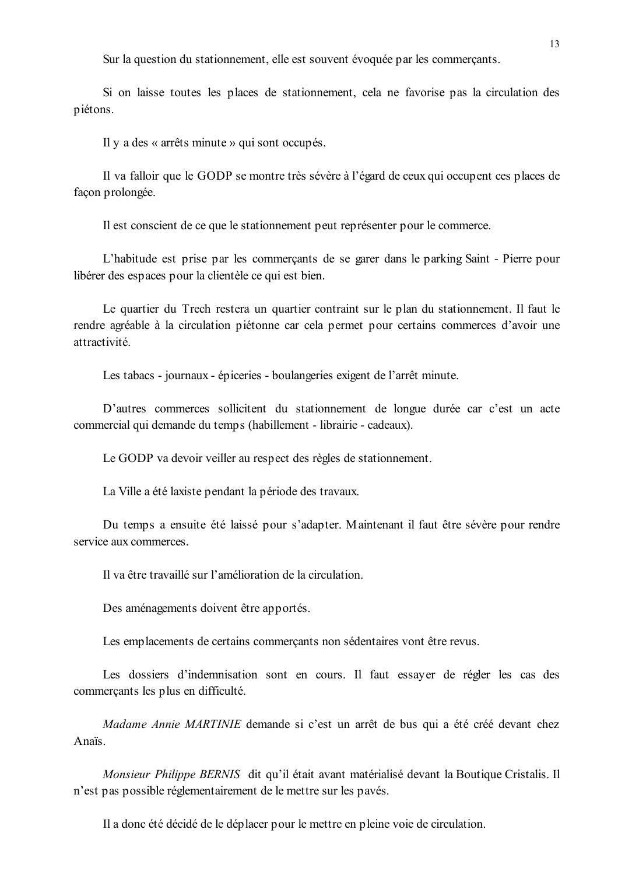Sur la question du stationnement, elle est souvent évoquée par les commerçants.

Si on laisse toutes les places de stationnement, cela ne favorise pas la circulation des piétons.

Il y a des « arrêts minute » qui sont occupés.

Il va falloir que le GODP se montre très sévère à l'égard de ceux qui occupent ces places de facon prolongée.

Il est conscient de ce que le stationnement peut représenter pour le commerce.

L'habitude est prise par les commercants de se garer dans le parking Saint - Pierre pour libérer des espaces pour la clientèle ce qui est bien.

Le quartier du Trech restera un quartier contraint sur le plan du stationnement. Il faut le rendre agréable à la circulation piétonne car cela permet pour certains commerces d'avoir une attractivité

Les tabacs - journaux - épiceries - boulangeries exigent de l'arrêt minute.

D'autres commerces sollicitent du stationnement de longue durée car c'est un acte commercial qui demande du temps (habillement - librairie - cadeaux).

Le GODP va devoir veiller au respect des règles de stationnement.

La Ville a été laxiste pendant la période des travaux.

Du temps a ensuite été laissé pour s'adapter. Maintenant il faut être sévère pour rendre service aux commerces.

Il va être travaillé sur l'amélioration de la circulation.

Des aménagements doivent être apportés.

Les emplacements de certains commerçants non sédentaires vont être revus.

Les dossiers d'indemnisation sont en cours. Il faut essayer de régler les cas des commerçants les plus en difficulté.

Madame Annie MARTINIE demande si c'est un arrêt de bus qui a été créé devant chez Anaïs

Monsieur Philippe BERNIS dit qu'il était avant matérialisé devant la Boutique Cristalis. Il n'est pas possible réglementairement de le mettre sur les pavés.

Il a donc été décidé de le déplacer pour le mettre en pleine voie de circulation.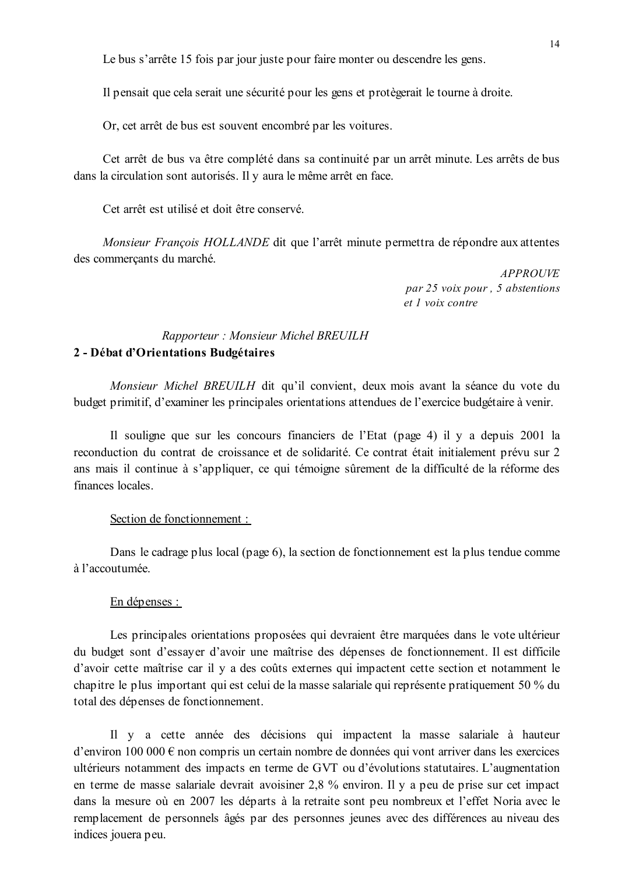Le bus s'arrête 15 fois par jour juste pour faire monter ou descendre les gens.

Il pensait que cela serait une sécurité pour les gens et protègerait le tourne à droite.

Or, cet arrêt de bus est souvent encombré par les voitures.

Cet arrêt de bus va être complété dans sa continuité par un arrêt minute. Les arrêts de bus dans la circulation sont autorisés. Il y aura le même arrêt en face.

Cet arrêt est utilisé et doit être conservé

Monsieur François HOLLANDE dit que l'arrêt minute permettra de répondre aux attentes des commercants du marché.

> **APPROUVE** par 25 voix pour, 5 abstentions  $et$  l voix contre

# Rapporteur: Monsieur Michel BREUILH 2 - Débat d'Orientations Budgétaires

Monsieur Michel BREUILH dit qu'il convient, deux mois avant la séance du vote du budget primitif, d'examiner les principales orientations attendues de l'exercice budgétaire à venir.

Il souligne que sur les concours financiers de l'Etat (page 4) il y a depuis 2001 la reconduction du contrat de croissance et de solidarité. Ce contrat était initialement prévu sur 2 ans mais il continue à s'appliquer, ce qui témoigne sûrement de la difficulté de la réforme des finances locales

### Section de fonctionnement :

Dans le cadrage plus local (page 6), la section de fonctionnement est la plus tendue comme à l'accoutumée.

#### En dépenses :

Les principales orientations proposées qui devraient être marquées dans le vote ultérieur du budget sont d'essayer d'avoir une maîtrise des dépenses de fonctionnement. Il est difficile d'avoir cette maîtrise car il y a des coûts externes qui impactent cette section et notamment le chapitre le plus important qui est celui de la masse salariale qui représente pratiquement 50 % du total des dépenses de fonctionnement.

Il y a cette année des décisions qui impactent la masse salariale à hauteur d'environ 100 000  $\epsilon$  non compris un certain nombre de données qui vont arriver dans les exercices ultérieurs notamment des impacts en terme de GVT ou d'évolutions statutaires. L'augmentation en terme de masse salariale devrait avoisiner 2,8 % environ. Il y a peu de prise sur cet impact dans la mesure où en 2007 les départs à la retraite sont peu nombreux et l'effet Noria avec le remplacement de personnels âgés par des personnes jeunes avec des différences au niveau des indices jouera peu.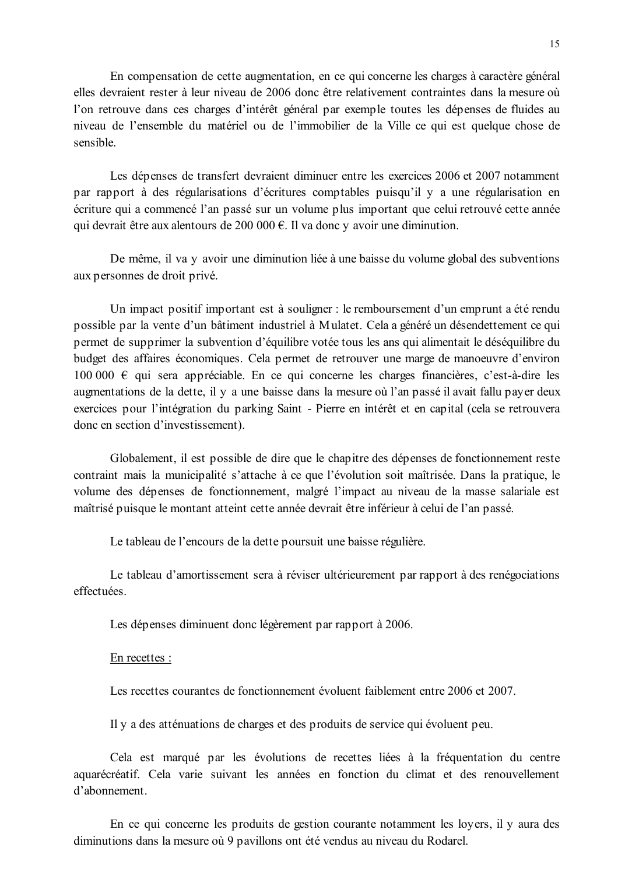En compensation de cette augmentation, en ce qui concerne les charges à caractère général elles devraient rester à leur niveau de 2006 donc être relativement contraintes dans la mesure où l'on retrouve dans ces charges d'intérêt général par exemple toutes les dépenses de fluides au niveau de l'ensemble du matériel ou de l'immobilier de la Ville ce qui est quelque chose de sensible.

Les dépenses de transfert devraient diminuer entre les exercices 2006 et 2007 notamment par rapport à des régularisations d'écritures comptables puisqu'il y a une régularisation en écriture qui a commencé l'an passé sur un volume plus important que celui retrouvé cette année qui devrait être aux alentours de 200 000  $\epsilon$ . Il va donc y avoir une diminution.

De même, il va y avoir une diminution liée à une baisse du volume global des subventions aux personnes de droit privé.

Un impact positif important est à souligner : le remboursement d'un emprunt a été rendu possible par la vente d'un bâtiment industriel à Mulatet. Cela a généré un désendettement ce qui permet de supprimer la subvention d'équilibre votée tous les ans qui alimentait le déséquilibre du budget des affaires économiques. Cela permet de retrouver une marge de manoeuvre d'environ 100 000  $\epsilon$  qui sera appréciable. En ce qui concerne les charges financières, c'est-à-dire les augmentations de la dette, il y a une baisse dans la mesure où l'an passé il avait fallu payer deux exercices pour l'intégration du parking Saint - Pierre en intérêt et en capital (cela se retrouvera donc en section d'investissement).

Globalement, il est possible de dire que le chapitre des dépenses de fonctionnement reste contraint mais la municipalité s'attache à ce que l'évolution soit maîtrisée. Dans la pratique, le volume des dépenses de fonctionnement, malgré l'impact au niveau de la masse salariale est maîtrisé puisque le montant atteint cette année devrait être inférieur à celui de l'an passé.

Le tableau de l'encours de la dette poursuit une baisse régulière.

Le tableau d'amortissement sera à réviser ultérieurement par rapport à des renégociations effectuées.

Les dépenses diminuent donc légèrement par rapport à 2006.

#### En recettes :

Les recettes courantes de fonctionnement évoluent faiblement entre 2006 et 2007

Il y a des atténuations de charges et des produits de service qui évoluent peu.

Cela est marqué par les évolutions de recettes liées à la fréquentation du centre aquarécréatif. Cela varie suivant les années en fonction du climat et des renouvellement d'abonnement

En ce qui concerne les produits de gestion courante notamment les loyers, il y aura des diminutions dans la mesure où 9 pavillons ont été vendus au niveau du Rodarel.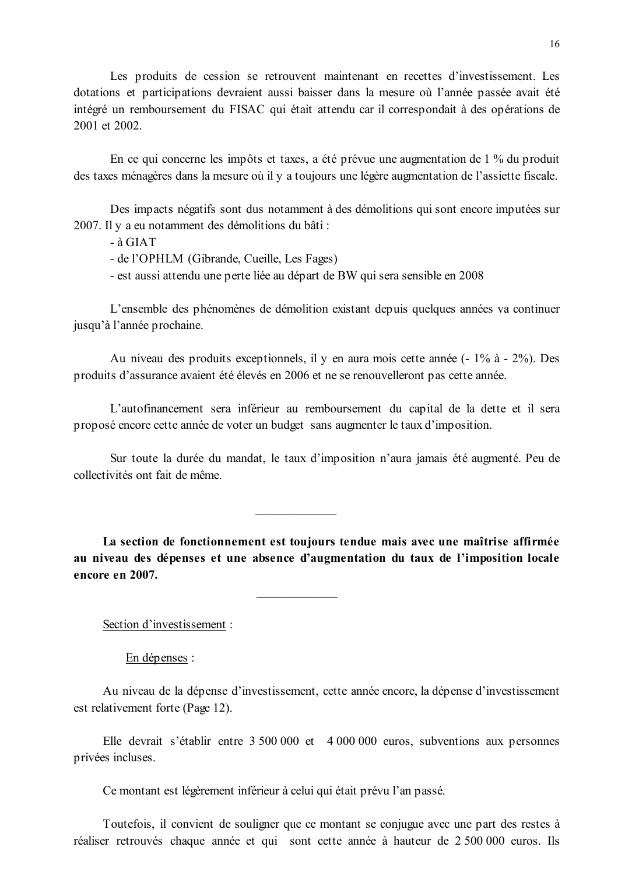Les produits de cession se retrouvent maintenant en recettes d'investissement. Les dotations et participations devraient aussi baisser dans la mesure où l'année passée avait été intégré un remboursement du FISAC qui était attendu car il correspondait à des opérations de 2001 et 2002

En ce qui concerne les impôts et taxes, a été prévue une augmentation de 1 % du produit des taxes ménagères dans la mesure où il y a toujours une légère augmentation de l'assiette fiscale.

Des impacts négatifs sont dus notamment à des démolitions qui sont encore imputées sur 2007. Il y a eu notamment des démolitions du bâti :

 $-$ à GIAT

- de l'OPHLM (Gibrande, Cueille, Les Fages)

- est aussi attendu une perte liée au départ de BW qui sera sensible en 2008

L'ensemble des phénomènes de démolition existant depuis quelques années va continuer jusqu'à l'année prochaine.

Au niveau des produits exceptionnels, il y en aura mois cette année (- 1% à - 2%). Des produits d'assurance avaient été élevés en 2006 et ne se renouvelleront pas cette année.

L'autofinancement sera inférieur au remboursement du capital de la dette et il sera proposé encore cette année de voter un budget sans augmenter le taux d'imposition.

Sur toute la durée du mandat, le taux d'imposition n'aura jamais été augmenté. Peu de collectivités ont fait de même

La section de fonctionnement est toujours tendue mais avec une maîtrise affirmée au niveau des dépenses et une absence d'augmentation du taux de l'imposition locale encore en 2007.

Section d'investissement :

 $En$  dépenses :

Au niveau de la dépense d'investissement, cette année encore, la dépense d'investissement est relativement forte (Page 12).

Elle devrait s'établir entre 3 500 000 et 4 000 000 euros, subventions aux personnes privées incluses.

Ce montant est légèrement inférieur à celui qui était prévu l'an passé.

Toutefois, il convient de souligner que ce montant se conjugue avec une part des restes à réaliser retrouvés chaque année et qui sont cette année à hauteur de 2 500 000 euros. Ils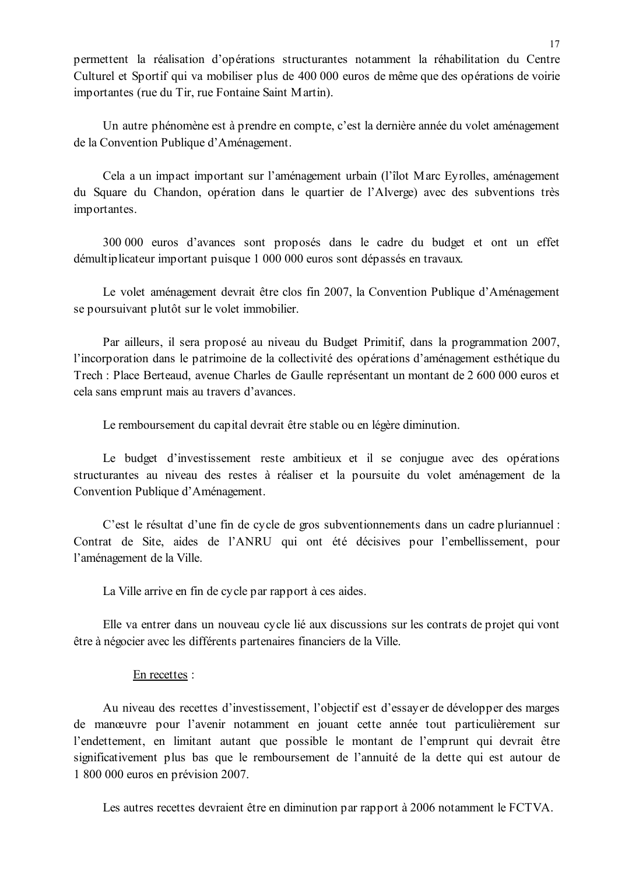permettent la réalisation d'opérations structurantes notamment la réhabilitation du Centre Culturel et Sportif qui va mobiliser plus de 400 000 euros de même que des opérations de voirie importantes (rue du Tir, rue Fontaine Saint Martin).

Un autre phénomène est à prendre en compte, c'est la dernière année du volet aménagement de la Convention Publique d'Aménagement.

Cela a un impact important sur l'aménagement urbain (l'îlot Marc Eyrolles, aménagement du Square du Chandon, opération dans le quartier de l'Alverge) avec des subventions très importantes.

300 000 euros d'avances sont proposés dans le cadre du budget et ont un effet démultiplicateur important puisque 1 000 000 euros sont dépassés en travaux.

Le volet aménagement devrait être clos fin 2007, la Convention Publique d'Aménagement se poursuivant plutôt sur le volet immobilier.

Par ailleurs, il sera proposé au niveau du Budget Primitif, dans la programmation 2007, l'incorporation dans le patrimoine de la collectivité des opérations d'aménagement esthétique du Trech : Place Berteaud, avenue Charles de Gaulle représentant un montant de 2 600 000 euros et cela sans emprunt mais au travers d'avances.

Le remboursement du capital devrait être stable ou en légère diminution.

Le budget d'investissement reste ambitieux et il se conjugue avec des opérations structurantes au niveau des restes à réaliser et la poursuite du volet aménagement de la Convention Publique d'Aménagement.

C'est le résultat d'une fin de cycle de gros subventionnements dans un cadre plurian nuel : Contrat de Site, aides de l'ANRU qui ont été décisives pour l'embellissement, pour l'aménagement de la Ville.

La Ville arrive en fin de cycle par rapport à ces aides.

Elle va entrer dans un nouveau cycle lié aux discussions sur les contrats de projet qui vont être à négocier avec les différents partenaires financiers de la Ville.

#### En recettes :

Au niveau des recettes d'investissement, l'objectif est d'essayer de développer des marges de manœuvre pour l'avenir notamment en jouant cette année tout particulièrement sur l'endettement, en limitant autant que possible le montant de l'emprunt qui devrait être significativement plus bas que le remboursement de l'annuité de la dette qui est autour de 1 800 000 euros en prévision 2007.

Les autres recettes devraient être en diminution par rapport à 2006 notamment le FCTVA.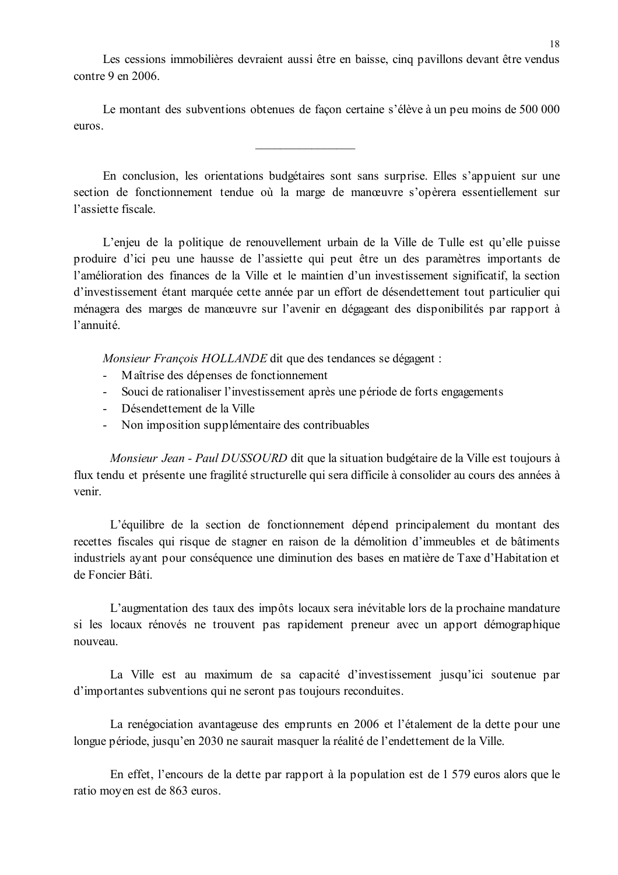Les cessions immobilières devraient aussi être en baisse, cinq pavillons devant être vendus  $contre 9 en 2006$ 

Le montant des subventions obtenues de facon certaine s'élève à un peu moins de 500 000 euros

En conclusion, les orientations budgétaires sont sans surprise. Elles s'appuient sur une section de fonctionnement tendue où la marge de manœuvre s'opèrera essentiellement sur l'assiette fiscale

L'enjeu de la politique de renouvellement urbain de la Ville de Tulle est qu'elle puisse produire d'ici peu une hausse de l'assiette qui peut être un des paramètres importants de l'amélioration des finances de la Ville et le maintien d'un investissement significatif, la section d'investissement étant marquée cette année par un effort de désendettement tout particulier qui ménagera des marges de manœuvre sur l'avenir en dégageant des disponibilités par rapport à l'annuité

Monsieur Francois HOLLANDE dit que des tendances se dégagent :

- Maîtrise des dépenses de fonctionnement  $\Delta \sim 10^{-11}$
- Souci de rationaliser l'investissement après une période de forts engagements
- Désendettement de la Ville
- Non imposition supplémentaire des contribuables

Monsieur Jean - Paul DUSSOURD dit que la situation budgétaire de la Ville est toujours à flux tendu et présente une fragilité structurelle qui sera difficile à consolider au cours des années à venir.

L'équilibre de la section de fonctionnement dépend principalement du montant des recettes fiscales qui risque de stagner en raison de la démolition d'immeubles et de bâtiments industriels ayant pour conséquence une diminution des bases en matière de Taxe d'Habitation et de Foncier Bâti.

L'augmentation des taux des impôts locaux sera inévitable lors de la prochaine mandature si les locaux rénovés ne trouvent pas rapidement preneur avec un apport démographique nouveau.

La Ville est au maximum de sa capacité d'investissement jusqu'ici soutenue par d'importantes subventions qui ne seront pas toujours reconduites.

La renégociation avantageuse des emprunts en 2006 et l'étalement de la dette pour une longue période, jusqu'en 2030 ne saurait masquer la réalité de l'endettement de la Ville.

En effet, l'encours de la dette par rapport à la population est de 1 579 euros alors que le ratio moven est de 863 euros.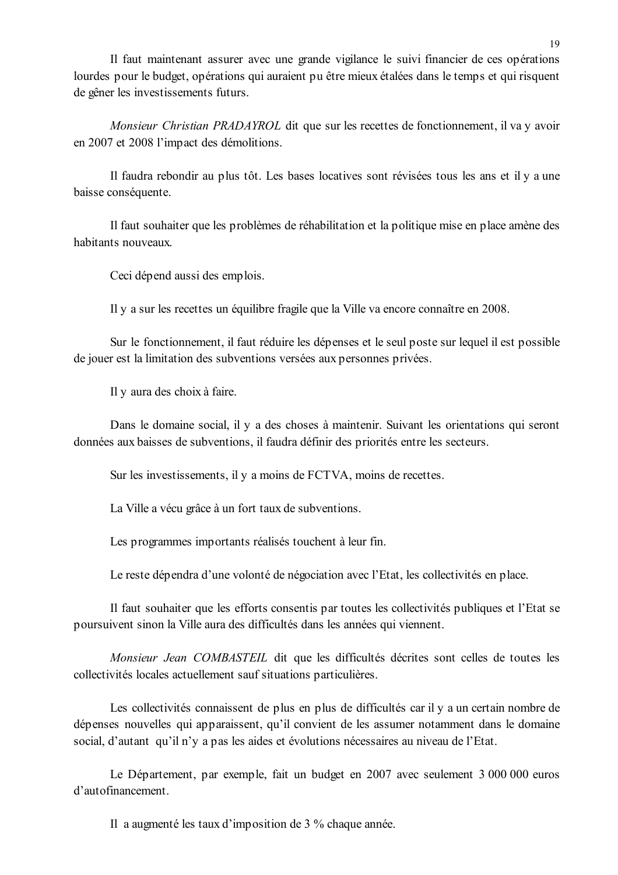Il faut maintenant assurer avec une grande vigilance le suivi financier de ces opérations lourdes pour le budget, opérations qui auraient pu être mieux étalées dans le temps et qui risquent de gêner les investissements futurs.

Monsieur Christian PRADAYROL dit que sur les recettes de fonctionnement, il va y avoir en 2007 et 2008 l'impact des démolitions.

Il faudra rebondir au plus tôt. Les bases locatives sont révisées tous les ans et il y a une baisse conséquente.

Il faut souhaiter que les problèmes de réhabilitation et la politique mise en place amène des habitants nouveaux.

Ceci dépend aussi des emplois.

Il y a sur les recettes un équilibre fragile que la Ville va encore connaître en 2008.

Sur le fonctionnement, il faut réduire les dépenses et le seul poste sur lequel il est possible de jouer est la limitation des subventions versées aux personnes privées.

Il y aura des choix à faire.

Dans le domaine social, il y a des choses à maintenir. Suivant les orientations qui seront données aux baisses de subventions, il faudra définir des priorités entre les secteurs.

Sur les investissements, il y a moins de FCTVA, moins de recettes.

La Ville a vécu grâce à un fort taux de subventions.

Les programmes importants réalisés touchent à leur fin.

Le reste dépendra d'une volonté de négociation avec l'Etat, les collectivités en place.

Il faut souhaiter que les efforts consentis par toutes les collectivités publiques et l'Etat se poursuivent sinon la Ville aura des difficultés dans les années qui viennent.

Monsieur Jean COMBASTEIL dit que les difficultés décrites sont celles de toutes les collectivités locales actuellement sauf situations particulières.

Les collectivités connaissent de plus en plus de difficultés car il y a un certain nombre de dépenses nouvelles qui apparaissent, qu'il convient de les assumer notamment dans le domaine social, d'autant qu'il n'y a pas les aides et évolutions nécessaires au niveau de l'Etat.

Le Département, par exemple, fait un budget en 2007 avec seulement 3 000 000 euros d'autofinancement

Il a augmenté les taux d'imposition de 3 % chaque année.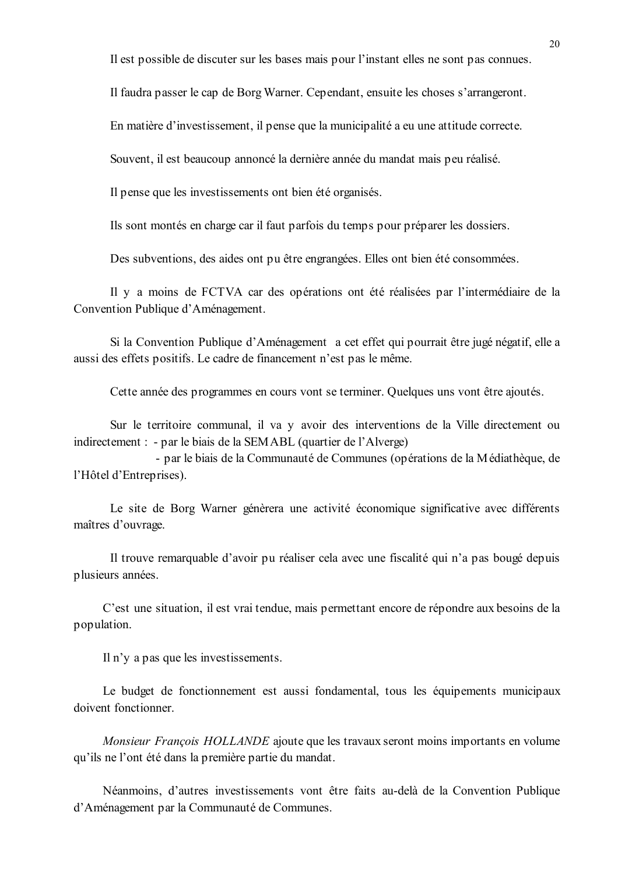Il est possible de discuter sur les bases mais pour l'instant elles ne sont pas connues.

Il faudra passer le cap de Borg Warner. Cependant, ensuite les choses s'arrangeront.

En matière d'investissement, il pense que la municipalité a eu une attitude correcte.

Souvent, il est beaucoup annoncé la dernière année du mandat mais peu réalisé.

Il pense que les investissements ont bien été organisés.

Ils sont montés en charge car il faut parfois du temps pour préparer les dossiers.

Des subventions, des aides ont pu être engrangées. Elles ont bien été consommées,

Il y a moins de FCTVA car des opérations ont été réalisées par l'intermédiaire de la Convention Publique d'Aménagement.

Si la Convention Publique d'Aménagement a cet effet qui pourrait être jugé négatif, elle a aussi des effets positifs. Le cadre de financement n'est pas le même.

Cette année des programmes en cours vont se terminer. Quelques uns vont être ajoutés.

Sur le territoire communal, il va y avoir des interventions de la Ville directement ou indirectement : - par le biais de la SEMABL (quartier de l'Alverge)

- par le biais de la Communauté de Communes (opérations de la Médiathèque, de l'Hôtel d'Entreprises).

Le site de Borg Warner génèrera une activité économique significative avec différents maîtres d'ouvrage.

Il trouve remarquable d'avoir pu réaliser cela avec une fiscalité qui n'a pas bougé depuis plusieurs années.

C'est une situation, il est vrai tendue, mais permettant encore de répondre aux besoins de la population.

Il n'y a pas que les investissements.

Le budget de fonctionnement est aussi fondamental, tous les équipements municipaux doivent fonctionner.

Monsieur François HOLLANDE ajoute que les travaux seront moins importants en volume qu'ils ne l'ont été dans la première partie du mandat.

Néanmoins, d'autres investissements vont être faits au-delà de la Convention Publique d'Aménagement par la Communauté de Communes.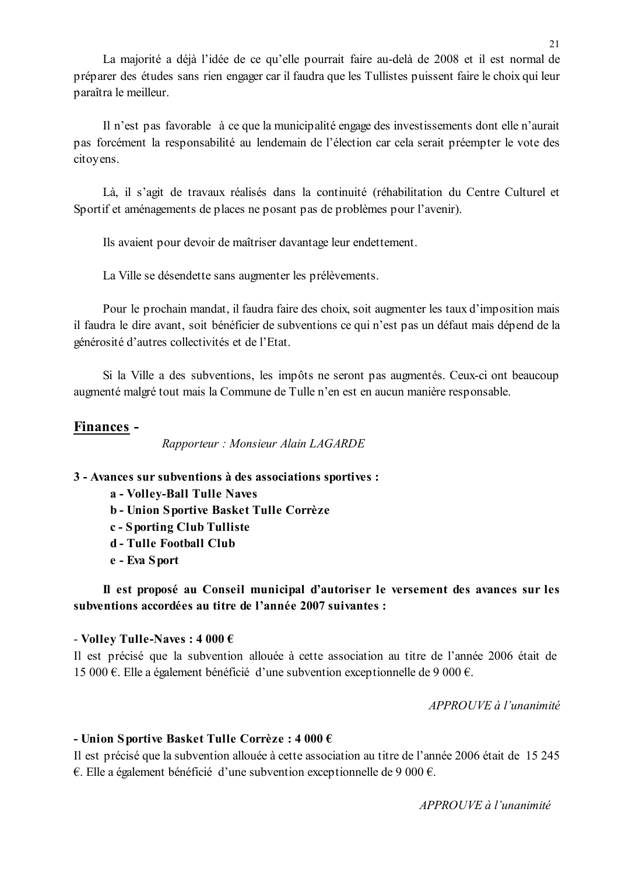La majorité a déjà l'idée de ce qu'elle pourrait faire au-delà de 2008 et il est normal de préparer des études sans rien engager car il faudra que les Tullistes puissent faire le choix qui leur paraîtra le meilleur.

Il n'est pas favorable à ce que la municipalité engage des investissements dont elle n'aurait pas forcément la responsabilité au lendemain de l'élection car cela serait préempter le vote des citoyens.

Là, il s'agit de travaux réalisés dans la continuité (réhabilitation du Centre Culturel et Sportif et aménagements de places ne posant pas de problèmes pour l'avenir).

Ils avaient pour devoir de maîtriser davantage leur endettement.

La Ville se désendette sans augmenter les prélèvements.

Pour le prochain mandat, il faudra faire des choix, soit augmenter les taux d'imposition mais il faudra le dire avant, soit bénéficier de subventions ce qui n'est pas un défaut mais dépend de la générosité d'autres collectivités et de l'Etat.

Si la Ville a des subventions, les impôts ne seront pas augmentés. Ceux-ci ont beaucoup augmenté malgré tout mais la Commune de Tulle n'en est en aucun manière responsable.

# Finances -

Rapporteur: Monsieur Alain LAGARDE

# 3 - Avances sur subventions à des associations sportives :

- a Volley-Ball Tulle Naves
- b Union Sportive Basket Tulle Corrèze
- c Sporting Club Tulliste
- d Tulle Football Club
- e Eva Sport

Il est proposé au Conseil municipal d'autoriser le versement des avances sur les subventions accordées au titre de l'année 2007 suivantes :

### - Volley Tulle-Naves:  $4000 \text{ } \in$

Il est précisé que la subvention allouée à cette association au titre de l'année 2006 était de 15 000 €. Elle a également bénéficié d'une subvention exceptionnelle de 9 000 €.

APPROUVE à l'unanimité

### - Union Sportive Basket Tulle Corrèze : 4 000  $\epsilon$

Il est précisé que la subvention allouée à cette association au titre de l'année 2006 était de 15 245  $\epsilon$ . Elle a également bénéficié d'une subvention exceptionnelle de 9 000  $\epsilon$ .

 $APPROIIVE \d{d} l'unanimit \d{e}$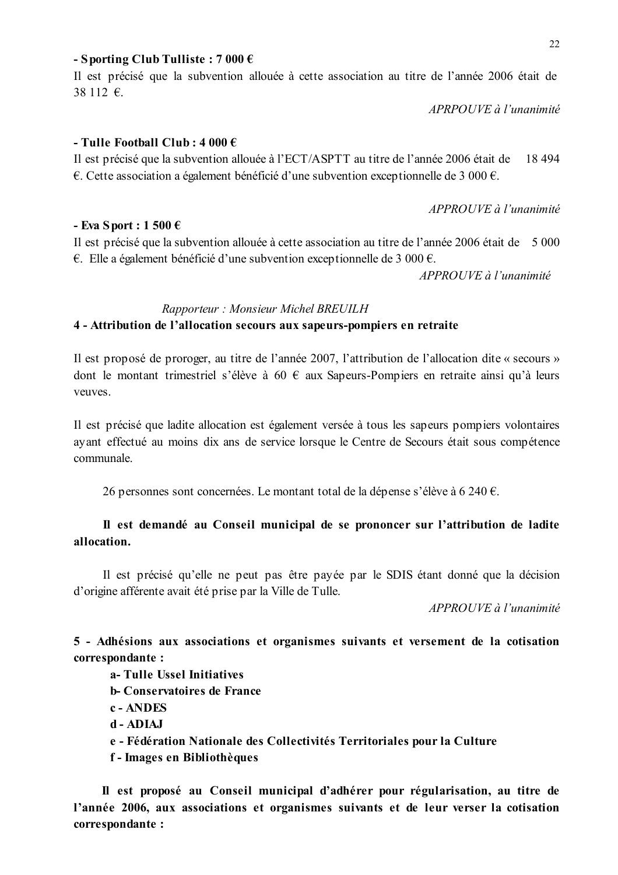#### - Sporting Club Tulliste:  $7000 \in$

Il est précisé que la subvention allouée à cette association au titre de l'année 2006 était de  $38112$  €.

APRPOUVE à l'unanimité

### - Tulle Football Club:  $4000 \in$

Il est précisé que la subvention allouée à l'ECT/ASPTT au titre de l'année 2006 était de 18 4 94 €. Cette association a également bénéficié d'une subvention exceptionnelle de 3 000 €.

 $APPROUVE \d{d} l'unanimit \d{e}$ 

#### - Eva Sport : 1 500  $\epsilon$

Il est précisé que la subvention allouée à cette association au titre de l'année 2006 était de 5 000 €. Elle a également bénéficié d'une subvention exceptionnelle de 3 000 €.

APPROUVE à l'unanimité

### Rapporteur: Monsieur Michel BREUILH

#### 4 - Attribution de l'allocation secours aux sapeurs-pompiers en retraite

Il est proposé de proroger, au titre de l'année 2007, l'attribution de l'allocation dite « secours » dont le montant trimestriel s'élève à 60  $\epsilon$  aux Sapeurs-Pompiers en retraite ainsi qu'à leurs veuves

Il est précisé que ladite allocation est également versée à tous les sapeurs pompiers volontaires ayant effectué au moins dix ans de service lorsque le Centre de Secours était sous compétence communale.

26 personnes sont concernées. Le montant total de la dépense s'élève à 6 240 €.

### Il est demandé au Conseil municipal de se prononcer sur l'attribution de ladite allocation.

Il est précisé qu'elle ne peut pas être payée par le SDIS étant donné que la décision d'origine afférente avait été prise par la Ville de Tulle.

APPROUVE à l'unanimité

5 - Adhésions aux associations et organismes suivants et versement de la cotisation correspondante :

- a-Tulle Ussel Initiatives
- **h**-Conservatoires de France
- c ANDES
- d ADIA.I
- e Fédération Nationale des Collectivités Territoriales pour la Culture
- f Images en Bibliothèques

Il est proposé au Conseil municipal d'adhérer pour régularisation, au titre de l'année 2006, aux associations et organismes suivants et de leur verser la cotisation correspondante :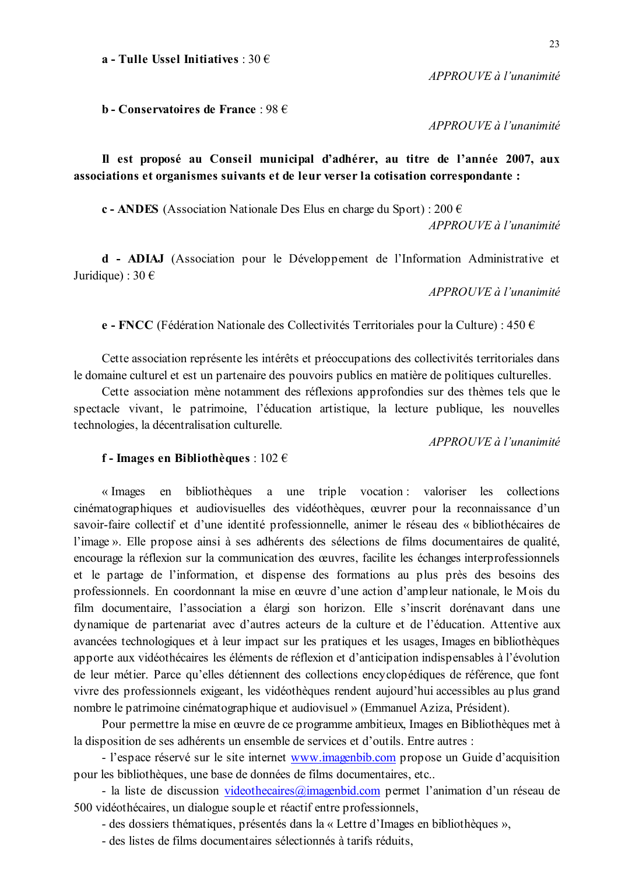a - Tulle Ussel Initiatives  $\cdot$  30  $\in$ 

 $APPROUVE \d{d} l'unanimit$ 

**b** - Conservatoires de France : 98  $\epsilon$ 

APPROUVE à l'unanimité

Il est proposé au Conseil municipal d'adhérer, au titre de l'année 2007, aux associations et organismes suivants et de leur verser la cotisation correspondante :

c - ANDES (Association Nationale Des Elus en charge du Sport) : 200  $\epsilon$ 

 $APPROIIVE$  à l'unanimité

d - ADIAJ (Association pour le Développement de l'Information Administrative et Juridique) :  $30 \in$ 

 $APPROUVE \d{d} l'unanimit\acute{e}$ 

e - FNCC (Fédération Nationale des Collectivités Territoriales pour la Culture) : 450  $\epsilon$ 

Cette association représente les intérêts et préoccupations des collectivités territoriales dans le domaine culturel et est un partenaire des pouvoirs publics en matière de politiques culturelles.

Cette association mène notamment des réflexions approfondies sur des thèmes tels que le spectacle vivant, le patrimoine, l'éducation artistique, la lecture publique, les nouvelles technologies, la décentralisation culturelle.

 $APPROIIVE$  à l'unanimité

#### f - Images en Bibliothèques :  $102 \in$

bibliothèques a une triple vocation : valoriser les collections « Images en cinématographiques et audiovisuelles des vidéothèques, œuvrer pour la reconnaissance d'un savoir-faire collectif et d'une identité professionnelle, animer le réseau des « bibliothécaires de l'image». Elle propose ainsi à ses adhérents des sélections de films documentaires de qualité, encourage la réflexion sur la communication des œuvres, facilite les échanges interprofessionnels et le partage de l'information, et dispense des formations au plus près des besoins des professionnels. En coordonnant la mise en œuvre d'une action d'ampleur nationale, le Mois du film documentaire, l'association a élargi son horizon. Elle s'inscrit dorénavant dans une dynamique de partenariat avec d'autres acteurs de la culture et de l'éducation. Attentive aux avancées technologiques et à leur impact sur les pratiques et les usages, Images en bibliothèques apporte aux vidéothécaires les éléments de réflexion et d'anticipation indispensables à l'évolution de leur métier. Parce qu'elles détiennent des collections encyclopédiques de référence, que font vivre des professionnels exigeant, les vidéothèques rendent aujourd'hui accessibles au plus grand nombre le patrimoine cinématographique et audiovisuel » (Emmanuel Aziza, Président).

Pour permettre la mise en œuvre de ce programme ambitieux. Images en Bibliothèques met à la disposition de ses adhérents un ensemble de services et d'outils. Entre autres :

- l'espace réservé sur le site internet www.imagenbib.com propose un Guide d'acquisition pour les bibliothèques, une base de données de films documentaires, etc...

- la liste de discussion videothecaires@imagenbid.com permet l'animation d'un réseau de 500 vidéothécaires, un dialogue souple et réactif entre professionnels,

- des dossiers thématiques, présentés dans la « Lettre d'Images en bibliothèques »,

- des listes de films documentaires sélectionnés à tarifs réduits,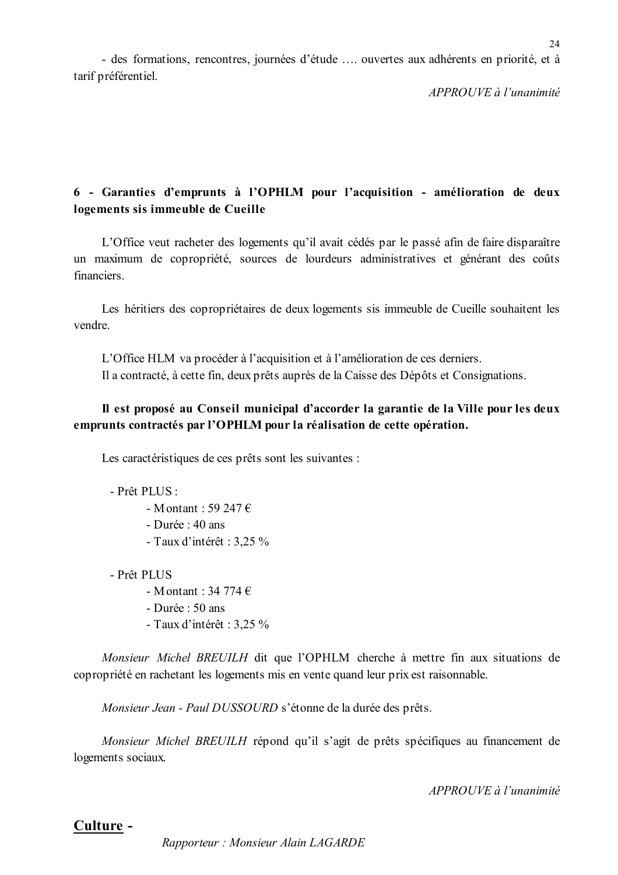- des formations, rencontres, journées d'étude ... ouvertes aux adhérents en priorité, et à tarif préférentiel.

APPROUVE à l'unanimité

# 6 - Garanties d'emprunts à l'OPHLM pour l'acquisition - amélioration de deux logements sis immeuble de Cueille

L'Office veut racheter des logements qu'il avait cédés par le passé afin de faire disparaître un maximum de copropriété, sources de lourdeurs administratives et générant des coûts financiers

Les héritiers des copropriétaires de deux logements sis immeuble de Cueille souhaitent les vendre

L'Office HLM va procéder à l'acquisition et à l'amélioration de ces derniers. Il a contracté, à cette fin, deux prêts auprès de la Caisse des Dépôts et Consignations.

# Il est proposé au Conseil municipal d'accorder la garantie de la Ville pour les deux emprunts contractés par l'OPHLM pour la réalisation de cette opération.

Les caractéristiques de ces prêts sont les suivantes :

- Prêt PLUS :

- Montant  $\cdot$  59 247  $\epsilon$
- Durée : 40 ans
- Taux d'intérêt : 3,25 %

- Prêt PLUS

- Montant: 34 774  $\epsilon$ 

- Durée :  $50$  ans
- Taux d'intérêt :  $3,25\%$

Monsieur Michel BREUILH dit que l'OPHLM cherche à mettre fin aux situations de copropriété en rachetant les logements mis en vente quand leur prix est raisonnable.

Monsieur Jean - Paul DUSSOURD s'étonne de la durée des prêts.

Monsieur Michel BREUILH répond qu'il s'agit de prêts spécifiques au financement de logements sociaux.

APPROUVE à l'unanimité

# $24$

# Culture -

Rapporteur: Monsieur Alain LAGARDE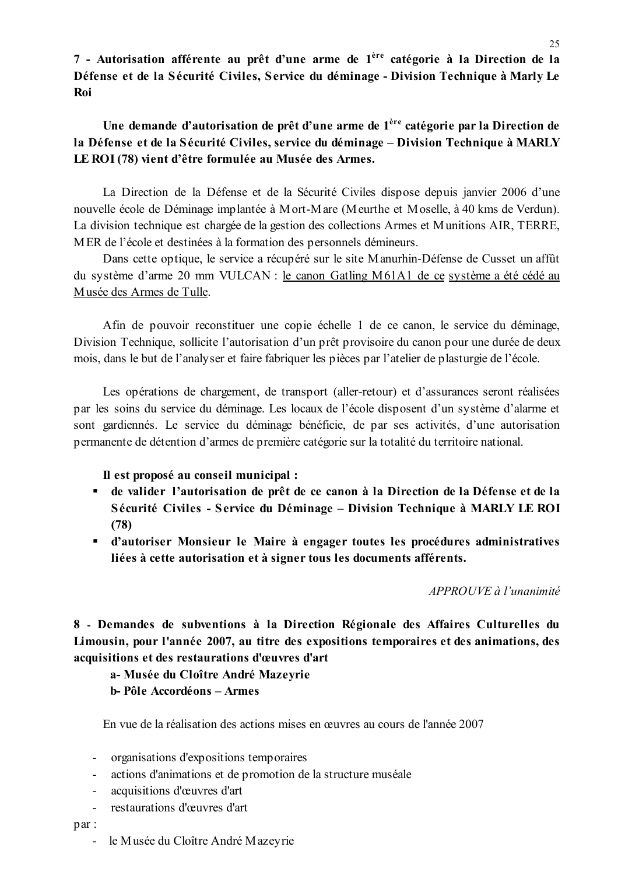7 - Autorisation afférente au prêt d'une arme de l<sup>ère</sup> catégorie à la Direction de la Défense et de la Sécurité Civiles, Service du déminage - Division Technique à Marly Le **Roi** 

# Une demande d'autorisation de prêt d'une arme de 1<sup>ère</sup> catégorie par la Direction de la Défense et de la Sécurité Civiles, service du déminage - Division Technique à MARLY LE ROI (78) vient d'être formulée au Musée des Armes.

La Direction de la Défense et de la Sécurité Civiles dispose depuis janvier 2006 d'une nouvelle école de Déminage implantée à Mort-Mare (Meurthe et Moselle, à 40 kms de Verdun). La division technique est chargée de la gestion des collections Armes et Munitions AIR, TERRE, MER de l'école et destinées à la formation des personnels démineurs.

Dans cette optique, le service a récupéré sur le site Manurhin-Défense de Cusset un affût du système d'arme 20 mm VULCAN : le canon Gatling M61A1 de ce système a été cédé au Musée des Armes de Tulle.

Afin de pouvoir reconstituer une copie échelle 1 de ce canon, le service du déminage, Division Technique, sollicite l'autorisation d'un prêt provisoire du canon pour une durée de deux mois, dans le but de l'analyser et faire fabriquer les pièces par l'atelier de plasturgie de l'école.

Les opérations de chargement, de transport (aller-retour) et d'assurances seront réalisées par les soins du service du déminage. Les locaux de l'école disposent d'un système d'alarme et sont gardiennés. Le service du déminage bénéficie, de par ses activités, d'une autorisation permanente de détention d'armes de première catégorie sur la totalité du territoire national.

Il est proposé au conseil municipal :

- de valider l'autorisation de prêt de ce canon à la Direction de la Défense et de la Sécurité Civiles - Service du Déminage – Division Technique à MARLY LE ROI  $(78)$
- " d'autoriser Monsieur le Maire à engager toutes les procédures administratives liées à cette autorisation et à signer tous les documents afférents.

APPROUVE à l'unanimité

8 - Demandes de subventions à la Direction Régionale des Affaires Culturelles du Limousin, pour l'année 2007, au titre des expositions temporaires et des animations, des acquisitions et des restaurations d'œuvres d'art

a- Musée du Cloître André Mazeyrie **b**-Pôle Accordéons – Armes

En vue de la réalisation des actions mises en œuvres au cours de l'année 2007

- organisations d'expositions temporaires
- actions d'animations et de promotion de la structure muséale
- acquisitions d'œuvres d'art
- restaurations d'œuvres d'art

 $par:$ 

- le Musée du Cloître André Mazeyrie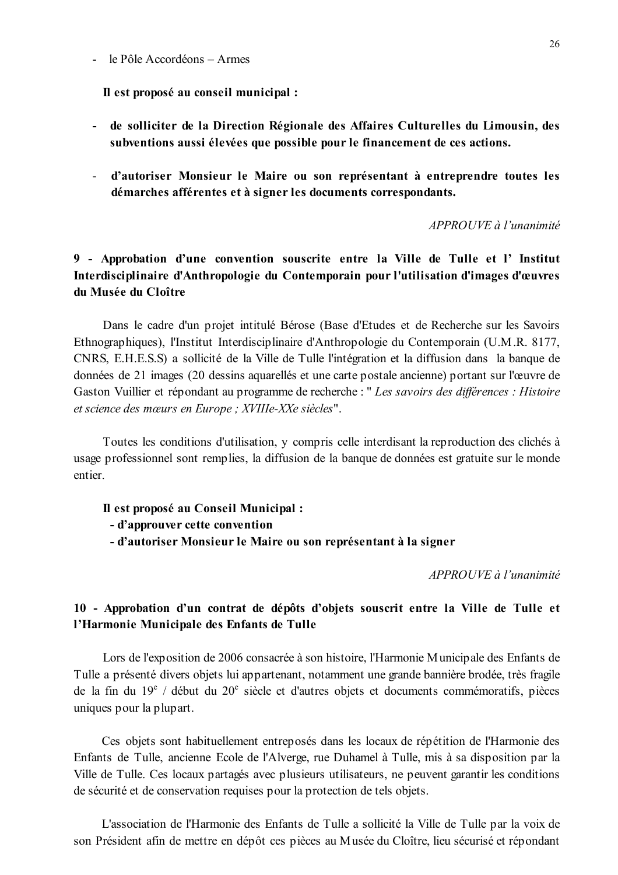#### $-$  le Pôle Accordéons  $-$  Armes

Il est proposé au conseil municipal :

- de solliciter de la Direction Régionale des Affaires Culturelles du Limousin, des subventions aussi élevées que possible pour le financement de ces actions.
- d'autoriser Monsieur le Maire ou son représentant à entreprendre toutes les démarches afférentes et à signer les documents correspondants.

 $APPROIIVE$  à l'unanimité

# 9 - Approbation d'une convention souscrite entre la Ville de Tulle et l'Institut Interdisciplinaire d'Anthropologie du Contemporain pour l'utilisation d'images d'œuvres du Musée du Cloître

Dans le cadre d'un projet intitulé Bérose (Base d'Etudes et de Recherche sur les Savoirs Ethnographiques), l'Institut Interdisciplinaire d'Anthropologie du Contemporain (U.M.R. 8177, CNRS, E.H.E.S.S) a sollicité de la Ville de Tulle l'intégration et la diffusion dans la banque de données de 21 images (20 dessins aquarellés et une carte postale ancienne) portant sur l'œuvre de Gaston Vuillier et répondant au programme de recherche : " Les savoirs des différences : Histoire et science des mœurs en Europe ; XVIIIe-XXe siècles".

Toutes les conditions d'utilisation, y compris celle interdisant la reproduction des clichés à usage professionnel sont remplies, la diffusion de la banque de données est gratuite sur le monde entier.

Il est proposé au Conseil Municipal :

- d'approuver cette convention

- d'autoriser Monsieur le Maire ou son représentant à la signer

APPROUVE à l'unanimité

# 10 - Approbation d'un contrat de dépôts d'objets souscrit entre la Ville de Tulle et l'Harmonie Municipale des Enfants de Tulle

Lors de l'exposition de 2006 consacrée à son histoire, l'Harmonie Municipale des Enfants de Tulle a présenté divers objets lui appartenant, notamment une grande bannière brodée, très fragile de la fin du  $19^e$  / début du  $20^e$  siècle et d'autres objets et documents commémoratifs, pièces uniques pour la plupart.

Ces objets sont habituellement entreposés dans les locaux de répétition de l'Harmonie des Enfants de Tulle, ancienne Ecole de l'Alverge, rue Duhamel à Tulle, mis à sa disposition par la Ville de Tulle. Ces locaux partagés avec plusieurs utilisateurs, ne peuvent garantir les conditions de sécurité et de conservation requises pour la protection de tels objets.

L'association de l'Harmonie des Enfants de Tulle a sollicité la Ville de Tulle par la voix de son Président afin de mettre en dépôt ces pièces au Musée du Cloître, lieu sécurisé et répondant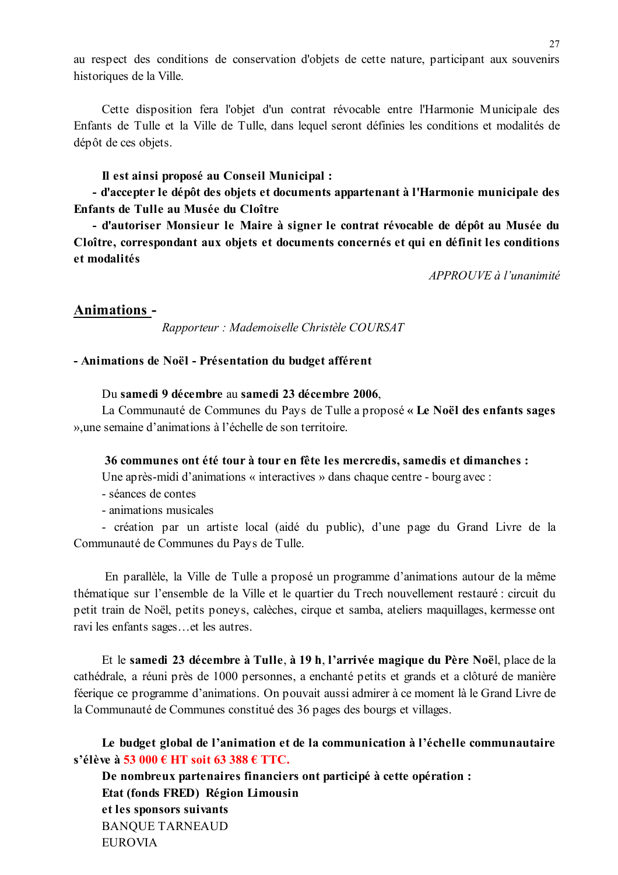au respect des conditions de conservation d'objets de cette nature, participant aux souvenirs historiques de la Ville.

Cette disposition fera l'objet d'un contrat révocable entre l'Harmonie Municipale des Enfants de Tulle et la Ville de Tulle, dans lequel seront définies les conditions et modalités de dépôt de ces objets.

Il est ainsi proposé au Conseil Municipal :

- d'accepter le dépôt des objets et documents appartenant à l'Harmonie municipale des Enfants de Tulle au Musée du Cloître

- d'autoriser Monsieur le Maire à signer le contrat révocable de dépôt au Musée du Cloître, correspondant aux objets et documents concernés et qui en définit les conditions et modalités

APPROUVE à l'unanimité

### **Animations -**

Rapporteur : Mademoiselle Christèle COURSAT

#### - Animations de Noël - Présentation du budget afférent

Du samedi 9 décembre au samedi 23 décembre 2006.

La Communauté de Communes du Pays de Tulle a proposé « Le Noël des enfants sages » une semaine d'animations à l'échelle de son territoire.

#### 36 communes ont été tour à tour en fête les mercredis, samedis et dimanches :

Une après-midi d'animations « interactives » dans chaque centre - bourg avec :

- séances de contes
- animations musicales

- création par un artiste local (aidé du public), d'une page du Grand Livre de la Communauté de Communes du Pays de Tulle.

En parallèle, la Ville de Tulle a proposé un programme d'animations autour de la même thématique sur l'ensemble de la Ville et le quartier du Trech nouvellement restauré : circuit du petit train de Noël, petits poneys, calèches, cirque et samba, ateliers maquillages, kermesse ont ravi les enfants sages...et les autres.

Et le samedi 23 décembre à Tulle, à 19 h, l'arrivée magique du Père Noël, place de la cathédrale, a réuni près de 1000 personnes, a enchanté petits et grands et a clôturé de manière féerique ce programme d'animations. On pouvait aussi admirer à ce moment là le Grand Livre de la Communauté de Communes constitué des 36 pages des bourgs et villages.

Le budget global de l'animation et de la communication à l'échelle communautaire s'élève à 53 000 € HT soit 63 388 € TTC.

De nombreux partenaires financiers ont participé à cette opération : Etat (fonds FRED) Région Limousin et les sponsors suivants **BANOUE TARNEAUD EUROVIA**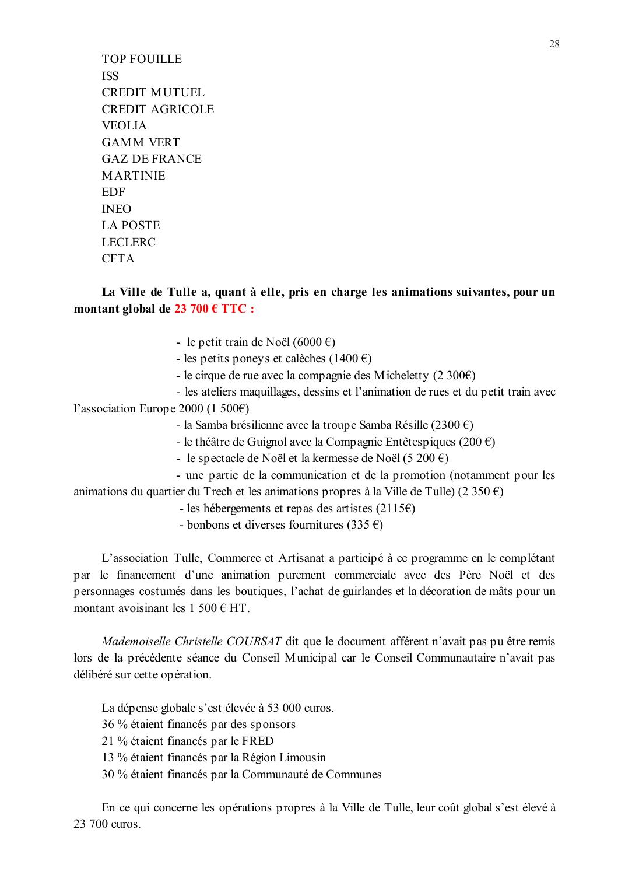**TOP FOUILLE ISS CREDIT MUTUEL CREDIT AGRICOLE VEOLIA GAMM VERT GAZ DE FRANCE MARTINIE EDF**  $INEO$ **LA POSTE LECLERC CFTA** 

La Ville de Tulle a, quant à elle, pris en charge les animations suivantes, pour un montant global de  $23\,700\,$  € TTC :

- le petit train de Noël (6000 €)

- les petits ponevs et calèches (1400 €)

- le cirque de rue avec la compagnie des Micheletty (2 300€)

- les ateliers maquillages, dessins et l'animation de rues et du petit train avec l'association Europe 2000 (1 500€)

- la Samba brésilienne avec la troupe Samba Résille (2300 €)

- le théâtre de Guignol avec la Compagnie Entêtespiques (200 $\epsilon$ )

- le spectacle de Noël et la kermesse de Noël (5 200 €)

- une partie de la communication et de la promotion (notamment pour les animations du quartier du Trech et les animations propres à la Ville de Tulle) (2 350 €)

- les hébergements et repas des artistes  $(2115 \epsilon)$ 

- bonbons et diverses fournitures (335  $\epsilon$ )

L'association Tulle, Commerce et Artisanat a participé à ce programme en le complétant par le financement d'une animation purement commerciale avec des Père Noël et des personnages costumés dans les boutiques, l'achat de guirlandes et la décoration de mâts pour un montant avoisinant les  $1\,500 \in HT$ .

Mademoiselle Christelle COURSAT dit que le document afférent n'avait pas pu être remis lors de la précédente séance du Conseil Municipal car le Conseil Communautaire n'avait pas délibéré sur cette opération.

La dépense globale s'est élevée à 53 000 euros. 36 % étaient financés par des sponsors 21 % étaient financés par le FRED

13 % étaient financés par la Région Limousin

30 % étaient financés par la Communauté de Communes

En ce qui concerne les opérations propres à la Ville de Tulle, leur coût global s'est élevé à 23 700 euros.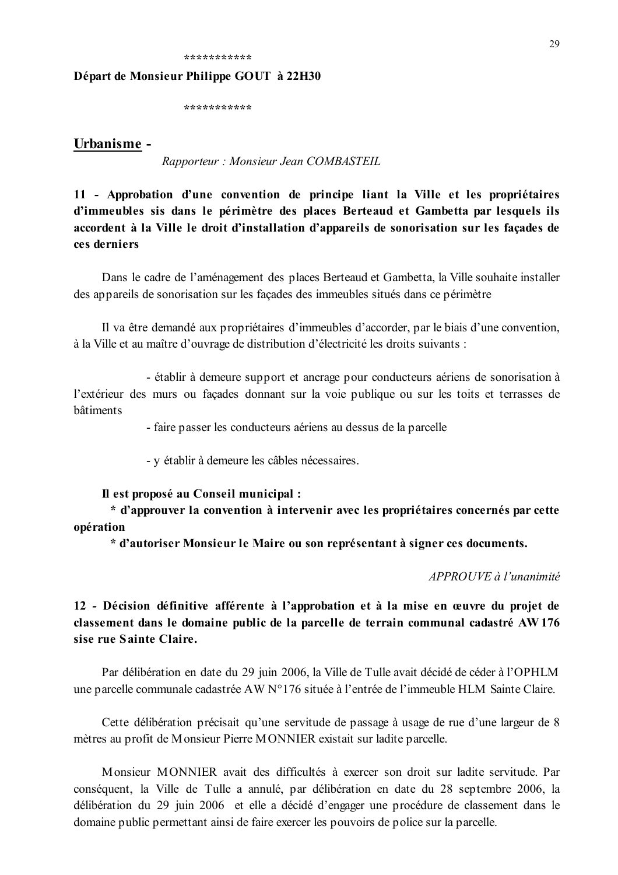#### 

#### Départ de Monsieur Philippe GOUT à 22H30

#### Urbanisme -

Rapporteur: Monsieur Jean COMBASTEIL

11 - Approbation d'une convention de principe liant la Ville et les propriétaires d'immeubles sis dans le périmètre des places Berteaud et Gambetta par lesquels ils accordent à la Ville le droit d'installation d'appareils de sonorisation sur les façades de ces derniers

Dans le cadre de l'aménagement des places Berteaud et Gambetta, la Ville souhaite installer des appareils de sonorisation sur les facades des immeubles situés dans ce périmètre

Il va être demandé aux propriétaires d'immeubles d'accorder, par le biais d'une convention, à la Ville et au maître d'ouvrage de distribution d'électricité les droits suivants :

- établir à demeure support et ancrage pour conducteurs aériens de sonorisation à l'extérieur des murs ou facades donnant sur la voie publique ou sur les toits et terrasses de **h**âtiments

- faire passer les conducteurs aériens au dessus de la parcelle

- y établir à demeure les câbles nécessaires.

#### Il est proposé au Conseil municipal :

\* d'approuver la convention à intervenir avec les propriétaires concernés par cette opération

\* d'autoriser Monsieur le Maire ou son représentant à signer ces documents.

APPROUVE à l'unanimité

12 - Décision définitive afférente à l'approbation et à la mise en œuvre du projet de classement dans le domaine public de la parcelle de terrain communal cadastré AW176 sise rue Sainte Claire.

Par délibération en date du 29 juin 2006, la Ville de Tulle avait décidé de céder à l'OPHLM une parcelle communale cadastrée AW N°176 située à l'entrée de l'immeuble HLM Sainte Claire.

Cette délibération précisait qu'une servitude de passage à usage de rue d'une largeur de 8 mètres au profit de Monsieur Pierre MONNIER existait sur ladite parcelle.

Monsieur MONNIER avait des difficultés à exercer son droit sur ladite servitude Par conséquent, la Ville de Tulle a annulé, par délibération en date du 28 septembre 2006, la délibération du 29 juin 2006 et elle a décidé d'engager une procédure de classement dans le domaine public permettant ainsi de faire exercer les pouvoirs de police sur la parcelle.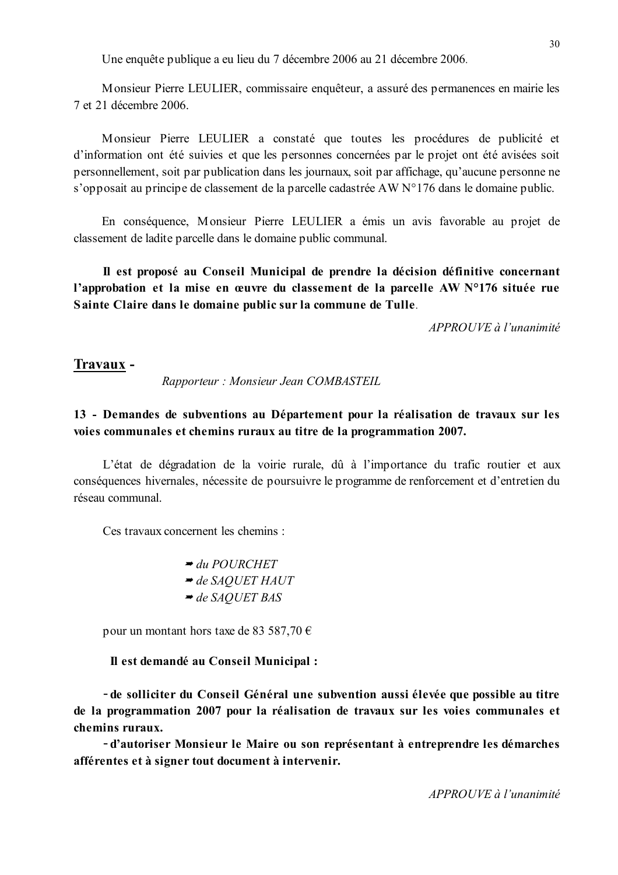Une enquête publique a eu lieu du 7 décembre 2006 au 21 décembre 2006.

Monsieur Pierre LEULIER, commissaire enquêteur, a assuré des permanences en mairie les 7 et 21 décembre 2006.

Monsieur Pierre LEULIER a constaté que toutes les procédures de publicité et d'information ont été suivies et que les personnes concernées par le projet ont été avisées soit personnellement, soit par publication dans les journaux, soit par affichage, qu'aucune personne ne s'opposait au principe de classement de la parcelle cadastrée AW N°176 dans le domaine public.

En conséquence, Monsieur Pierre LEULIER a émis un avis favorable au projet de classement de ladite parcelle dans le domaine public communal.

Il est proposé au Conseil Municipal de prendre la décision définitive concernant l'approbation et la mise en œuvre du classement de la parcelle AW N°176 située rue Sainte Claire dans le domaine public sur la commune de Tulle.

 $APPROIIVE$  à l'unanimité

#### Travaux -

Rapporteur: Monsieur Jean COMBASTEIL

# 13 - Demandes de subventions au Département pour la réalisation de travaux sur les voies communales et chemins ruraux au titre de la programmation 2007.

L'état de dégradation de la voirie rurale, dû à l'importance du trafic routier et aux conséquences hivernales, nécessite de poursuivre le programme de renforcement et d'entretien du réseau communal

Ces travaux concernent les chemins ·

pour un montant hors taxe de 83 587,70  $\epsilon$ 

#### Il est demandé au Conseil Municipal :

- de solliciter du Conseil Général une subvention aussi élevée que possible au titre de la programmation 2007 pour la réalisation de travaux sur les voies communales et chemins ruraux.

-d'autoriser Monsieur le Maire ou son représentant à entreprendre les démarches afférentes et à signer tout document à intervenir.

 $APPROIIVE$  à l'unanimité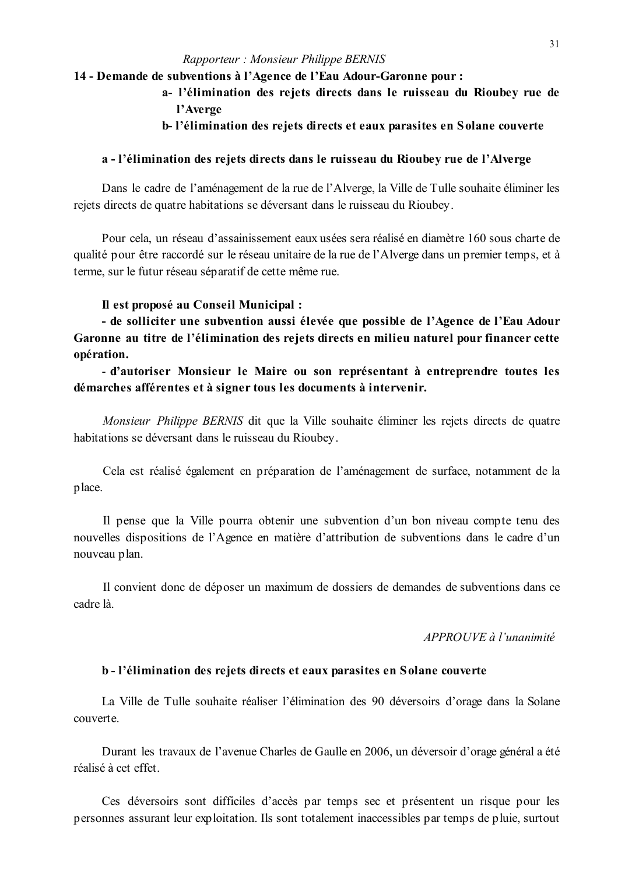#### Rapporteur: Monsieur Philippe BERNIS

### 14 - Demande de subventions à l'Agence de l'Eau Adour-Garonne pour :

- a- l'élimination des rejets directs dans le ruisseau du Rioubey rue de l'Averge
- b-l'élimination des rejets directs et eaux parasites en Solane couverte

#### a - l'élimination des rejets directs dans le ruisseau du Rioubey rue de l'Alverge

Dans le cadre de l'aménagement de la rue de l'Alverge, la Ville de Tulle souhaite éliminer les rejets directs de quatre habitations se déversant dans le ruisseau du Rioubey.

Pour cela, un réseau d'assainissement eaux usées sera réalisé en diamètre 160 sous charte de qualité pour être raccordé sur le réseau unitaire de la rue de l'Alverge dans un premier temps, et à terme, sur le futur réseau séparatif de cette même rue.

#### Il est proposé au Conseil Municipal :

- de solliciter une subvention aussi élevée que possible de l'Agence de l'Eau Adour Garonne au titre de l'élimination des rejets directs en milieu naturel pour financer cette opération.

- d'autoriser Monsieur le Maire ou son représentant à entreprendre toutes les démarches afférentes et à signer tous les documents à intervenir.

Monsieur Philippe BERNIS dit que la Ville souhaite éliminer les rejets directs de quatre habitations se déversant dans le ruisseau du Rioubey.

Cela est réalisé également en préparation de l'aménagement de surface, notamment de la place.

Il pense que la Ville pourra obtenir une subvention d'un bon niveau compte tenu des nouvelles dispositions de l'Agence en matière d'attribution de subventions dans le cadre d'un nouveau plan.

Il convient donc de déposer un maximum de dossiers de demandes de subventions dans ce cadre là

APPROUVE à l'unanimité

### b - l'élimination des rejets directs et eaux parasites en Solane couverte

La Ville de Tulle souhaite réaliser l'élimination des 90 déversoirs d'orage dans la Solane couverte

Durant les travaux de l'avenue Charles de Gaulle en 2006, un déversoir d'orage général a été réalisé à cet effet

Ces déversoirs sont difficiles d'accès par temps sec et présentent un risque pour les personnes assurant leur exploitation. Ils sont totalement inaccessibles par temps de pluie, surtout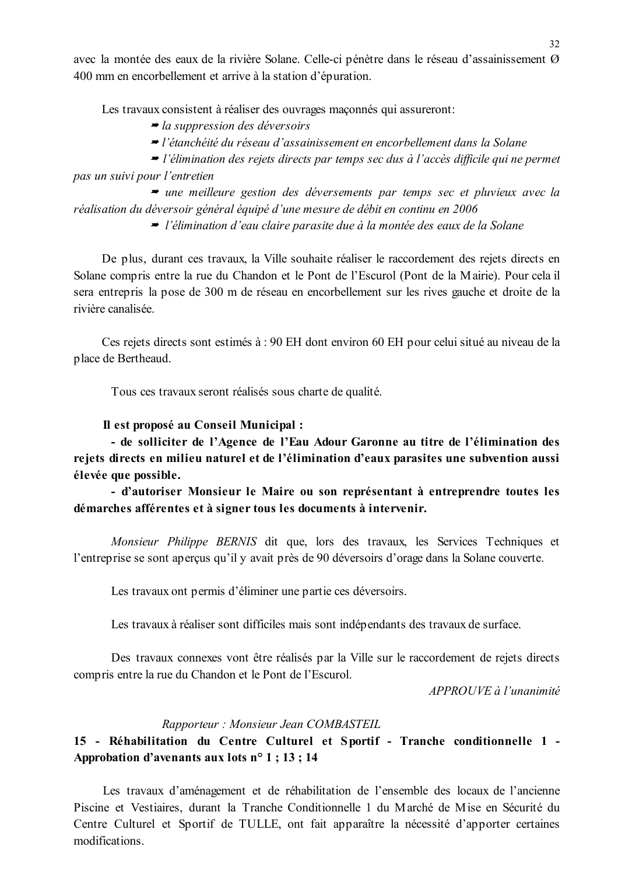avec la montée des eaux de la rivière Solane. Celle-ci pénètre dans le réseau d'assainissement Ø 400 mm en encorbellement et arrive à la station d'épuration.

Les travaux consistent à réaliser des ouvrages maconnés qui assureront:

 $\rightarrow$  la suppression des déversoirs

• l'étanchéité du réseau d'assainissement en encorbellement dans la Solane

 $\rightarrow$  l'élimination des rejets directs par temps sec dus à l'accès difficile qui ne permet pas un suivi pour l'entretien

• une meilleure gestion des déversements par temps sec et pluvieux avec la réalisation du déversoir général équipé d'une mesure de débit en continu en 2006

 $\rightarrow$  l'élimination d'eau claire parasite due à la montée des eaux de la Solane

De plus, durant ces travaux, la Ville souhaite réaliser le raccordement des rejets directs en Solane compris entre la rue du Chandon et le Pont de l'Escurol (Pont de la Mairie). Pour cela il sera entrepris la pose de 300 m de réseau en encorbellement sur les rives gauche et droite de la rivière canalisée

Ces rejets directs sont estimés à : 90 EH dont environ 60 EH pour celui situé au niveau de la place de Bertheaud.

Tous ces travaux seront réalisés sous charte de qualité.

#### Il est proposé au Conseil Municipal :

- de solliciter de l'Agence de l'Eau Adour Garonne au titre de l'élimination des rejets directs en milieu naturel et de l'élimination d'eaux parasites une subvention aussi élevée que possible.

- d'autoriser Monsieur le Maire ou son représentant à entreprendre toutes les démarches afférentes et à signer tous les documents à intervenir.

Monsieur Philippe BERNIS dit que, lors des travaux, les Services Techniques et l'entreprise se sont aperçus qu'il y avait près de 90 déversoirs d'orage dans la Solane couverte.

Les travaux ont permis d'éliminer une partie ces déversoirs.

Les travaux à réaliser sont difficiles mais sont indépendants des travaux de surface.

Des travaux connexes vont être réalisés par la Ville sur le raccordement de rejets directs compris entre la rue du Chandon et le Pont de l'Escurol.

 $APPROUVE$ à l'unanimité

#### Rapporteur: Monsieur Jean COMBASTEIL

# 15 - Réhabilitation du Centre Culturel et Sportif - Tranche conditionnelle 1 -Approbation d'avenants aux lots  $n^{\circ}$  1 ; 13 ; 14

Les travaux d'aménagement et de réhabilitation de l'ensemble des locaux de l'ancienne Piscine et Vestiaires, durant la Tranche Conditionnelle 1 du Marché de Mise en Sécurité du Centre Culturel et Sportif de TULLE, ont fait apparaître la nécessité d'apporter certaines modifications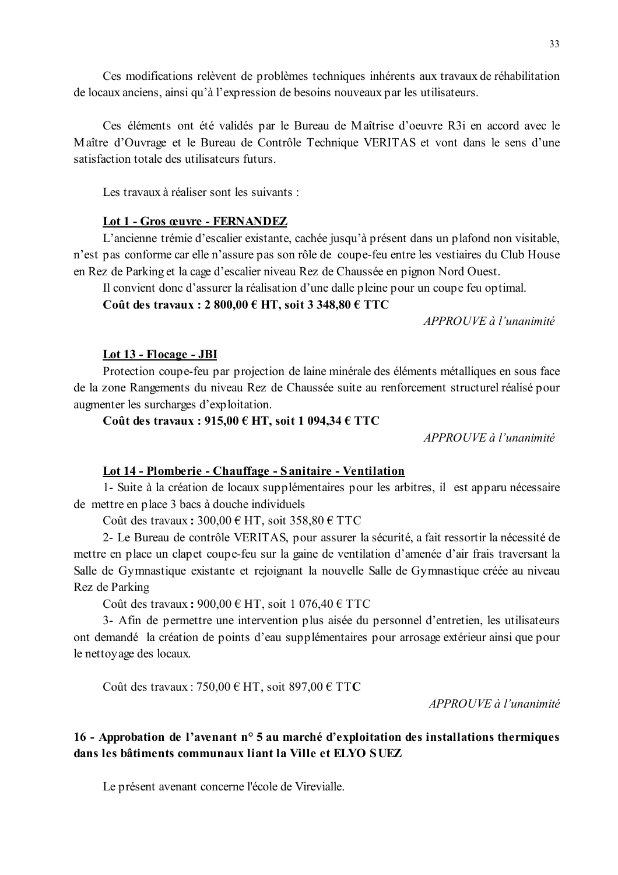Ces modifications relèvent de problèmes techniques inhérents aux travaux de réhabilitation de locaux anciens, ainsi qu'à l'expression de besoins nouveaux par les utilisateurs.

Ces éléments ont été validés par le Bureau de Maîtrise d'oeuvre R3i en accord avec le Maître d'Ouvrage et le Bureau de Contrôle Technique VERITAS et vont dans le sens d'une satisfaction totale des utilisateurs futurs

Les travaux à réaliser sont les suivants :

### Lot 1 - Gros œuvre - FERNANDEZ

L'ancienne trémie d'escalier existante, cachée jusqu'à présent dans un plafond non visitable, n'est pas conforme car elle n'assure pas son rôle de coupe-feu entre les vestiaires du Club House en Rez de Parking et la cage d'escalier niveau Rez de Chaussée en pignon Nord Ouest.

Il convient donc d'assurer la réalisation d'une dalle pleine pour un coupe feu optimal.

Coût des travaux : 2 800,00 € HT, soit 3 348,80 € TTC

APPROUVE à l'unanimité

### Lot 13 - Flocage - JBI

Protection coupe-feu par projection de laine minérale des éléments métalliques en sous face de la zone Rangements du niveau Rez de Chaussée suite au renforcement structurel réalisé pour augmenter les surcharges d'exploitation.

### Coût des travaux :  $915,00 \in HT$ , soit 1 094,34  $\in TTC$

APPROUVE à l'unanimité

### Lot 14 - Plomberie - Chauffage - Sanitaire - Ventilation

1- Suite à la création de locaux supplémentaires pour les arbitres, il est apparu nécessaire de mettre en place 3 bacs à douche individuels

Coût des travaux:  $300,00 \in HT$ , soit  $358,80 \in TTC$ 

2- Le Bureau de contrôle VERITAS, pour assurer la sécurité, a fait ressortir la nécessité de mettre en place un clapet coupe-feu sur la gaine de ventilation d'amenée d'air frais traversant la Salle de Gymnastique existante et rejoignant la nouvelle Salle de Gymnastique créée au niveau Rez de Parking

Coût des travaux:  $900,00 \in HT$ , soit 1 076,40  $\in TTC$ 

3- Afin de permettre une intervention plus aisée du personnel d'entretien, les utilisateurs ont demandé la création de points d'eau supplémentaires pour arrosage extérieur ainsi que pour le nettoyage des locaux.

Coût des travaux : 750,00 € HT, soit 897,00 € TTC

 $APPROIIVE$  à l'unanimité

# 16 - Approbation de l'avenant n° 5 au marché d'exploitation des installations thermiques dans les bâtiments communaux liant la Ville et ELYO SUEZ

Le présent avenant concerne l'école de Virevialle.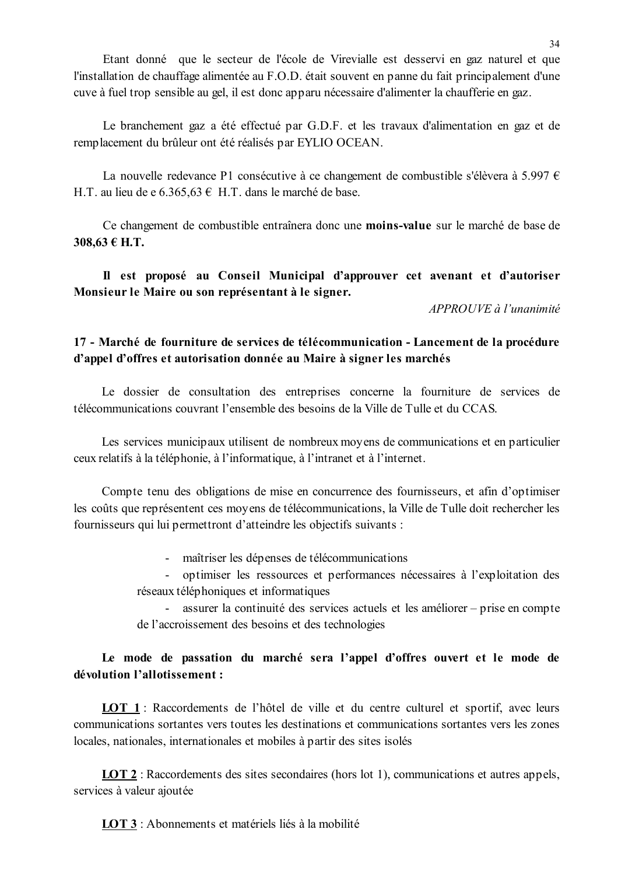Etant donné que le secteur de l'école de Virevialle est desservi en gaz naturel et que l'installation de chauffage alimentée au F.O.D. était souvent en panne du fait principalement d'une cuve à fuel trop sensible au gel, il est donc apparu nécessaire d'alimenter la chaufferie en gaz.

Le branchement gaz a été effectué par G.D.F. et les travaux d'alimentation en gaz et de remplacement du brûleur ont été réalisés par EYLIO OCEAN.

La nouvelle redevance P1 consécutive à ce changement de combustible s'élèvera à 5.997  $\epsilon$ H.T. au lieu de e 6.365.63  $\epsilon$  H.T. dans le marché de base.

Ce changement de combustible entraînera donc une moins-value sur le marché de base de 308.63 € Н.Т.

Il est proposé au Conseil Municipal d'approuver cet avenant et d'autoriser Monsieur le Maire ou son représentant à le signer.

 $APPROUVE \d0$  l'unanimité

# 17 - Marché de fourniture de services de télécommunication - Lancement de la procédure d'appel d'offres et autorisation donnée au Maire à signer les marchés

Le dossier de consultation des entreprises concerne la fourniture de services de télécommunications couvrant l'ensemble des besoins de la Ville de Tulle et du CCAS

Les services municipaux utilisent de nombreux moyens de communications et en particulier ceux relatifs à la téléphonie, à l'informatique, à l'intranet et à l'internet.

Compte tenu des obligations de mise en concurrence des fournisseurs, et afin d'optimiser les coûts que représentent ces moyens de télécommunications, la Ville de Tulle doit rechercher les fournisseurs qui lui permettront d'atteindre les objectifs suivants :

- maîtriser les dépenses de télécommunications

- optimiser les ressources et performances nécessaires à l'exploitation des réseaux téléphoniques et informatiques

- assurer la continuité des services actuels et les améliorer – prise en compte de l'accroissement des besoins et des technologies

# Le mode de passation du marché sera l'appel d'offres ouvert et le mode de dévolution l'allotissement :

**LOT 1**: Raccordements de l'hôtel de ville et du centre culturel et sportif, avec leurs communications sortantes vers toutes les destinations et communications sortantes vers les zones locales, nationales, internationales et mobiles à partir des sites isolés

**LOT 2**: Raccordements des sites secondaires (hors lot 1), communications et autres appels, services à valeur ajoutée

LOT 3 : Abonnements et matériels liés à la mobilité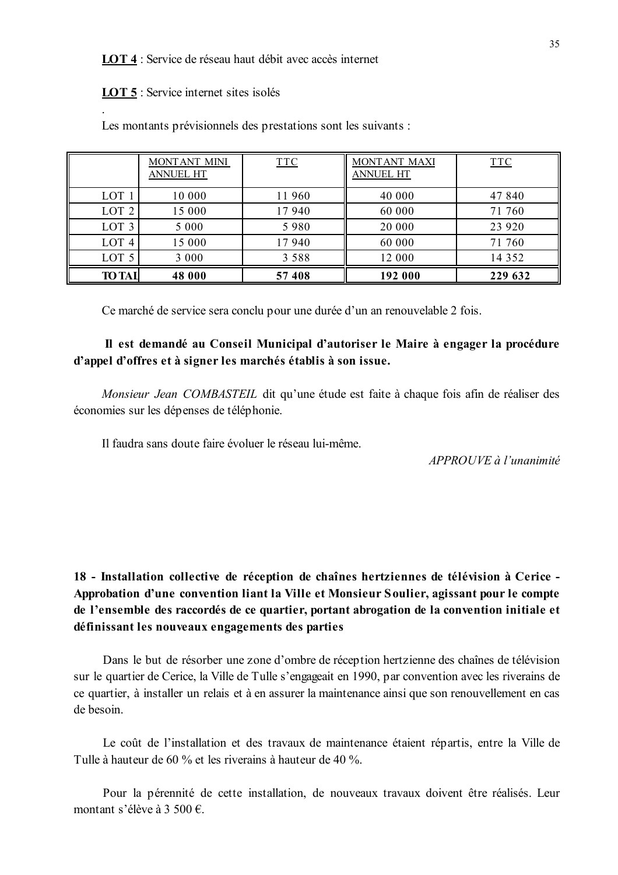LOT 4 : Service de réseau haut débit avec accès internet

**LOT 5**: Service internet sites isolés

|                  | MONTANT MINI<br><b>ANNUEL HT</b> | <b>TTC</b> | MONTANT MAXI<br><b>ANNUEL HT</b> | <b>TTC</b> |
|------------------|----------------------------------|------------|----------------------------------|------------|
| LOT <sub>1</sub> | 10 000                           | 11 960     | 40 000                           | 47 840     |
| LOT <sub>2</sub> | 15 000                           | 17940      | 60 000                           | 71 760     |
| LOT <sub>3</sub> | 5 0 0 0                          | 5980       | 20 000                           | 23 9 20    |
| LOT <sub>4</sub> | 15 000                           | 17940      | 60 000                           | 71 760     |
| LOT <sub>5</sub> | 3 0 0 0                          | 3 5 8 8    | 12 000                           | 14 3 5 2   |
| <b>TO TAI</b>    | 48 000                           | 57 408     | 192 000                          | 229 632    |

Les montants prévisionnels des prestations sont les suivants :

Ce marché de service sera conclu pour une durée d'un an renouvelable 2 fois.

### Il est demandé au Conseil Municipal d'autoriser le Maire à engager la procédure d'appel d'offres et à signer les marchés établis à son issue.

Monsieur Jean COMBASTEIL dit qu'une étude est faite à chaque fois afin de réaliser des économies sur les dépenses de téléphonie.

Il faudra sans doute faire évoluer le réseau lui-même.

APPROUVE à l'unanimité

18 - Installation collective de réception de chaînes hertziennes de télévision à Cerice -Approbation d'une convention liant la Ville et Monsieur Soulier, agissant pour le compte de l'ensemble des raccordés de ce quartier, portant abrogation de la convention initiale et définissant les nouveaux engagements des parties

Dans le but de résorber une zone d'ombre de réception hertzienne des chaînes de télévision sur le quartier de Cerice, la Ville de Tulle s'engageait en 1990, par convention avec les riverains de ce quartier, à installer un relais et à en assurer la maintenance ainsi que son renouvellement en cas de besoin

Le coût de l'installation et des travaux de maintenance étaient répartis, entre la Ville de Tulle à hauteur de 60 % et les riverains à hauteur de 40 %.

Pour la pérennité de cette installation, de nouveaux travaux doivent être réalisés. Leur montant s'élève à 3 500 €.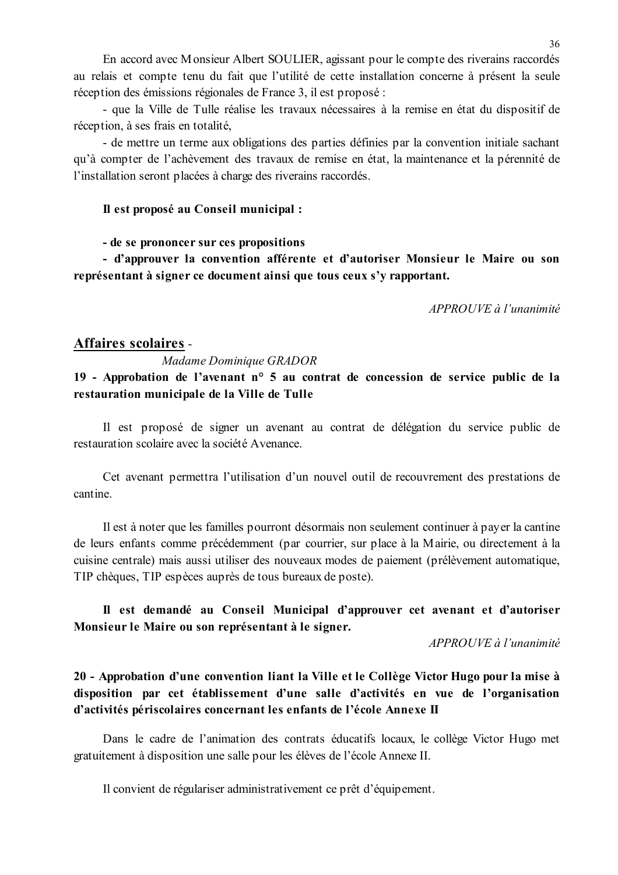En accord avec Monsieur Albert SOULIER, agissant pour le compte des riverains raccordés au relais et compte tenu du fait que l'utilité de cette installation concerne à présent la seule réception des émissions régionales de France 3, il est proposé :

- que la Ville de Tulle réalise les travaux nécessaires à la remise en état du dispositif de réception, à ses frais en totalité,

- de mettre un terme aux obligations des parties définies par la convention initiale sachant qu'à compter de l'achèvement des travaux de remise en état, la maintenance et la pérennité de l'installation seront placées à charge des riverains raccordés.

### Il est proposé au Conseil municipal :

#### - de se prononcer sur ces propositions

- d'approuver la convention afférente et d'autoriser Monsieur le Maire ou son représentant à signer ce document ainsi que tous ceux s'y rapportant.

APPROUVE à l'unanimité

### **Affaires scolaires -**

#### Madame Dominique GRADOR

19 - Approbation de l'avenant n° 5 au contrat de concession de service public de la restauration municipale de la Ville de Tulle

Il est proposé de signer un avenant au contrat de délégation du service public de restauration scolaire avec la société Avenance

Cet avenant permettra l'utilisation d'un nouvel outil de recouvrement des prestations de cantine

Il est à noter que les familles pourront désormais non seulement continuer à payer la cantine de leurs enfants comme précédemment (par courrier, sur place à la Mairie, ou directement à la cuisine centrale) mais aussi utiliser des nouveaux modes de paiement (prélèvement automatique, TIP chèques, TIP espèces auprès de tous bureaux de poste).

# Il est demandé au Conseil Municipal d'approuver cet avenant et d'autoriser Monsieur le Maire ou son représentant à le signer.

APPROUVE à l'unanimité

# 20 - Approbation d'une convention liant la Ville et le Collège Victor Hugo pour la mise à disposition par cet établissement d'une salle d'activités en vue de l'organisation d'activités périscolaires concernant les enfants de l'école Annexe II

Dans le cadre de l'animation des contrats éducatifs locaux, le collège Victor Hugo met gratuitement à disposition une salle pour les élèves de l'école Annexe II.

Il convient de régulariser administrativement ce prêt d'équipement.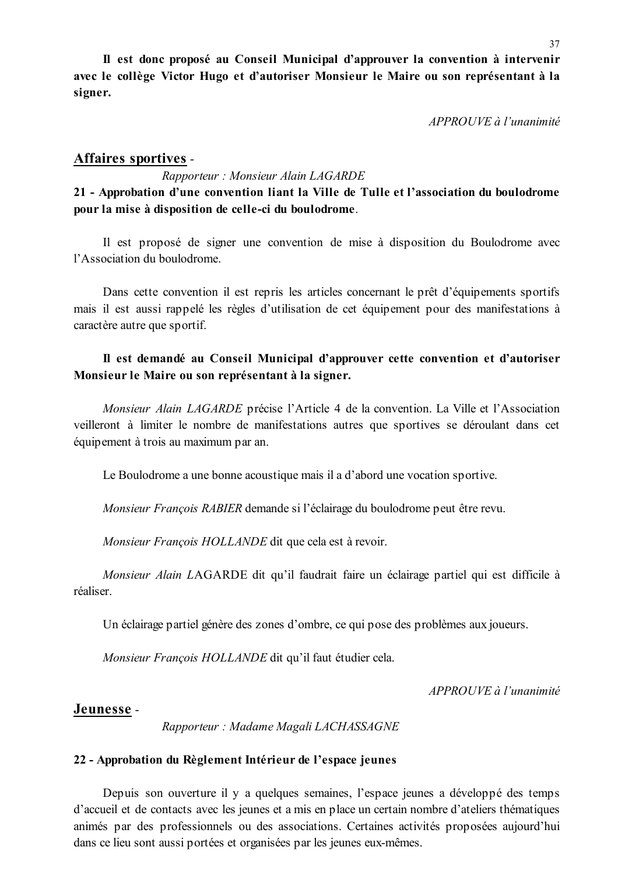Il est donc proposé au Conseil Municipal d'approuver la convention à intervenir avec le collège Victor Hugo et d'autoriser Monsieur le Maire ou son représentant à la signer.

APPROUVE à l'unanimité

# **Affaires sportives -**

Rapporteur: Monsieur Alain LAGARDE

# 21 - Approbation d'une convention liant la Ville de Tulle et l'association du boulodrome pour la mise à disposition de celle-ci du boulodrome.

Il est proposé de signer une convention de mise à disposition du Boulodrome avec l'Association du boulodrome

Dans cette convention il est repris les articles concernant le prêt d'équipements sportifs mais il est aussi rappelé les règles d'utilisation de cet équipement pour des manifestations à caractère autre que sportif.

### Il est demandé au Conseil Municipal d'approuver cette convention et d'autoriser Monsieur le Maire ou son représentant à la signer.

Monsieur Alain LAGARDE précise l'Article 4 de la convention. La Ville et l'Association veilleront à limiter le nombre de manifestations autres que sportives se déroulant dans cet équipement à trois au maximum par an.

Le Boulodrome a une bonne acoustique mais il a d'abord une vocation sportive.

Monsieur François RABIER demande si l'éclairage du boulodrome peut être revu.

Monsieur François HOLLANDE dit que cela est à revoir.

Monsieur Alain LAGARDE dit qu'il faudrait faire un éclairage partiel qui est difficile à réaliser

Un éclairage partiel génère des zones d'ombre, ce qui pose des problèmes aux joueurs.

Monsieur François HOLLANDE dit qu'il faut étudier cela.

APPROUVE à l'unanimité

### Jeunesse -

Rapporteur: Madame Magali LACHASSAGNE

### 22 - Approbation du Règlement Intérieur de l'espace jeunes

Depuis son ouverture il y a quelques semaines, l'espace jeunes a développé des temps d'accueil et de contacts avec les jeunes et a mis en place un certain nombre d'ateliers thématiques animés par des professionnels ou des associations. Certaines activités proposées aujourd'hui dans ce lieu sont aussi portées et organisées par les jeunes eux-mêmes.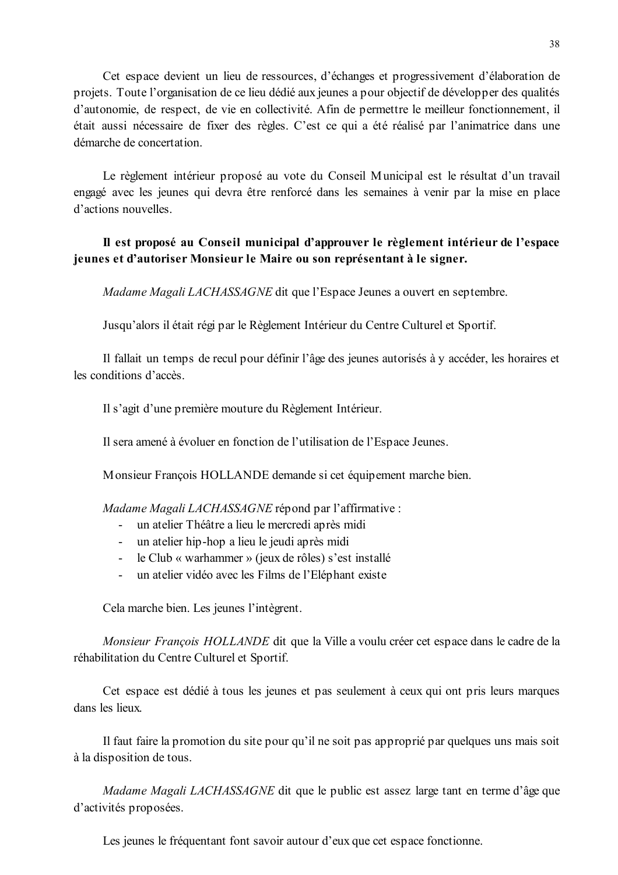Cet espace devient un lieu de ressources, d'échanges et progressivement d'élaboration de projets. Toute l'organisation de ce lieu dédié aux jeunes a pour objectif de développer des qualités d'autonomie, de respect, de vie en collectivité. Afin de permettre le meilleur fonctionnement, il était aussi nécessaire de fixer des règles. C'est ce qui a été réalisé par l'animatrice dans une démarche de concertation.

Le règlement intérieur proposé au vote du Conseil Municipal est le résultat d'un travail engagé avec les jeunes qui devra être renforcé dans les semaines à venir par la mise en place d'actions nouvelles

# Il est proposé au Conseil municipal d'approuver le règlement intérieur de l'espace jeunes et d'autoriser Monsieur le Maire ou son représentant à le signer.

Madame Magali LACHASSAGNE dit que l'Espace Jeunes a ouvert en septembre.

Jusqu'alors il était régi par le Règlement Intérieur du Centre Culturel et Sportif.

Il fallait un temps de recul pour définir l'âge des jeunes autorisés à v accéder, les horaires et les conditions d'accès.

Il s'agit d'une première mouture du Règlement Intérieur.

Il sera amené à évoluer en fonction de l'utilisation de l'Espace Jeunes.

Monsieur François HOLLANDE demande si cet équipement marche bien.

*Madame Magali LACHASSAGNE* répond par l'affirmative :

- un atelier Théâtre a lieu le mercredi après midi
- $\mathbb{Z}^{(n)}$ un atelier hip-hop a lieu le jeudi après midi
- le Club « warhammer » (jeux de rôles) s'est installé
- un atelier vidéo avec les Films de l'Eléphant existe

Cela marche bien. Les jeunes l'intègrent.

Monsieur François HOLLANDE dit que la Ville a voulu créer cet espace dans le cadre de la réhabilitation du Centre Culturel et Sportif.

Cet espace est dédié à tous les jeunes et pas seulement à ceux qui ont pris leurs marques dans les lieux.

Il faut faire la promotion du site pour qu'il ne soit pas approprié par quelques uns mais soit à la disposition de tous.

*Madame Magali LACHASSAGNE* dit que le public est assez large tant en terme d'âge que d'activités proposées.

Les jeunes le fréquentant font savoir autour d'eux que cet espace fonctionne.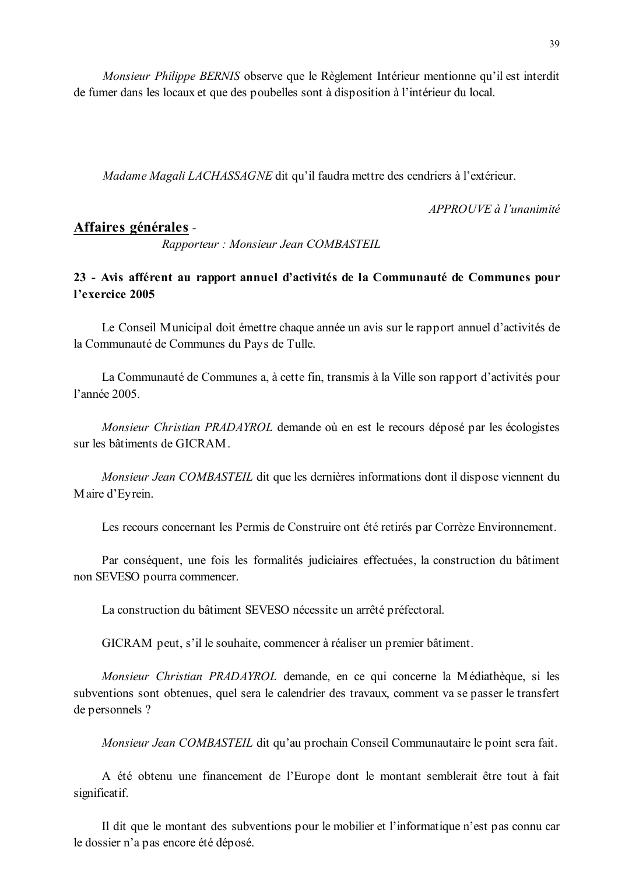*Monsieur Philippe BERNIS* observe que le Règlement Intérieur mentionne qu'il est interdit de fumer dans les locaux et que des poubelles sont à disposition à l'intérieur du local.

Madame Magali LACHASSAGNE dit qu'il faudra mettre des cendriers à l'extérieur.

 $APPROUVE \d{d} l'unanimit \d{e}$ 

# Affaires générales -

Rapporteur: Monsieur Jean COMBASTEIL

# 23 - Avis afférent au rapport annuel d'activités de la Communauté de Communes pour l'exercice 2005

Le Conseil Municipal doit émettre chaque année un avis sur le rapport annuel d'activités de la Communauté de Communes du Pays de Tulle.

La Communauté de Communes a, à cette fin, transmis à la Ville son rapport d'activités pour l'année 2005

Monsieur Christian PRADAYROL demande où en est le recours déposé par les écologistes sur les bâtiments de GICRAM

Monsieur Jean COMBASTEIL dit que les dernières informations dont il dispose viennent du Maire d'Eyrein.

Les recours concernant les Permis de Construire ont été retirés par Corrèze Environnement.

Par conséquent, une fois les formalités judiciaires effectuées, la construction du bâtiment non SEVESO pourra commencer.

La construction du bâtiment SEVESO nécessite un arrêté préfectoral.

GICRAM peut, s'il le souhaite, commencer à réaliser un premier bâtiment.

Monsieur Christian PRADAYROL demande, en ce qui concerne la Médiathèque, si les subventions sont obtenues, quel sera le calendrier des travaux, comment va se passer le transfert de personnels ?

Monsieur Jean COMBASTEIL dit qu'au prochain Conseil Communautaire le point sera fait.

A été obtenu une financement de l'Europe dont le montant semblerait être tout à fait significatif.

Il dit que le montant des subventions pour le mobilier et l'informatique n'est pas connu car le dossier n'a pas encore été déposé.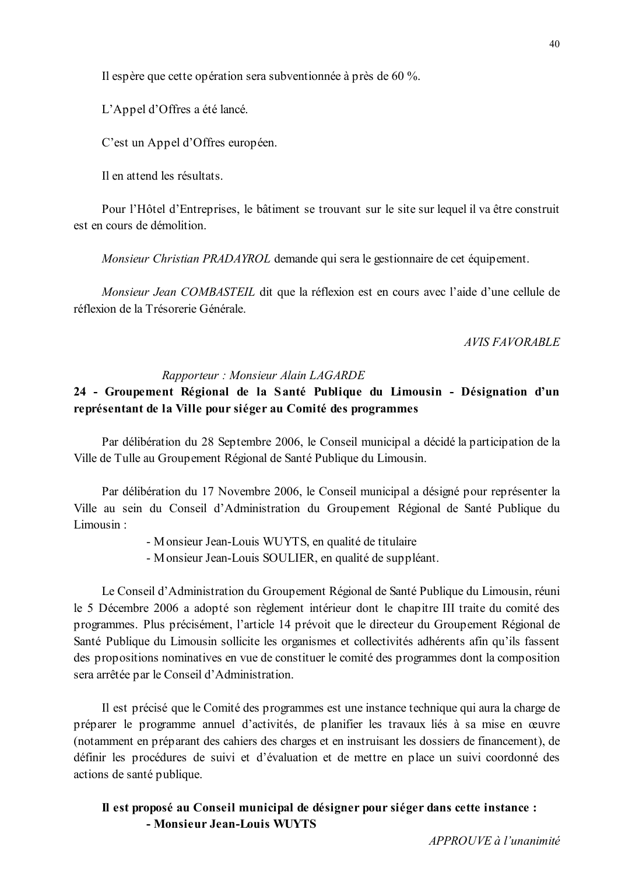Il espère que cette opération sera subventionnée à près de 60 %.

L'Appel d'Offres a été lancé.

C'est un Appel d'Offres européen.

Il en attend les résultats

Pour l'Hôtel d'Entreprises, le bâtiment se trouvant sur le site sur lequel il va être construit est en cours de démolition.

*Monsieur Christian PRADAYROL* demande qui sera le gestionnaire de cet équipement.

*Monsieur Jean COMBASTEIL* dit que la réflexion est en cours avec l'aide d'une cellule de réflexion de la Trésorerie Générale

#### **AVIS FAVORABLE**

#### Rapporteur: Monsieur Alain LAGARDE

# 24 - Groupement Régional de la Santé Publique du Limousin - Désignation d'un représentant de la Ville pour siéger au Comité des programmes

Par délibération du 28 Septembre 2006, le Conseil municipal a décidé la participation de la Ville de Tulle au Groupement Régional de Santé Publique du Limousin.

Par délibération du 17 Novembre 2006, le Conseil municipal a désigné pour représenter la Ville au sein du Conseil d'Administration du Groupement Régional de Santé Publique du Limousin ·

- Monsieur Jean-Louis WUYTS, en qualité de titulaire
- Monsieur Jean-Louis SOULIER, en qualité de suppléant.

Le Conseil d'Administration du Groupement Régional de Santé Publique du Limousin, réuni le 5 Décembre 2006 a adopté son règlement intérieur dont le chapitre III traite du comité des programmes. Plus précisément, l'article 14 prévoit que le directeur du Groupement Régional de Santé Publique du Limousin sollicite les organismes et collectivités adhérents afin qu'ils fassent des propositions nominatives en vue de constituer le comité des programmes dont la composition sera arrêtée par le Conseil d'Administration.

Il est précisé que le Comité des programmes est une instance technique qui aura la charge de préparer le programme annuel d'activités, de planifier les travaux liés à sa mise en œuvre (notamment en préparant des cahiers des charges et en instruisant les dossiers de financement), de définir les procédures de suivi et d'évaluation et de mettre en place un suivi coordonné des actions de santé publique.

# Il est proposé au Conseil municipal de désigner pour siéger dans cette instance : - Monsieur Jean-Louis WUYTS

 $APPROIIVE$  à l'unanimité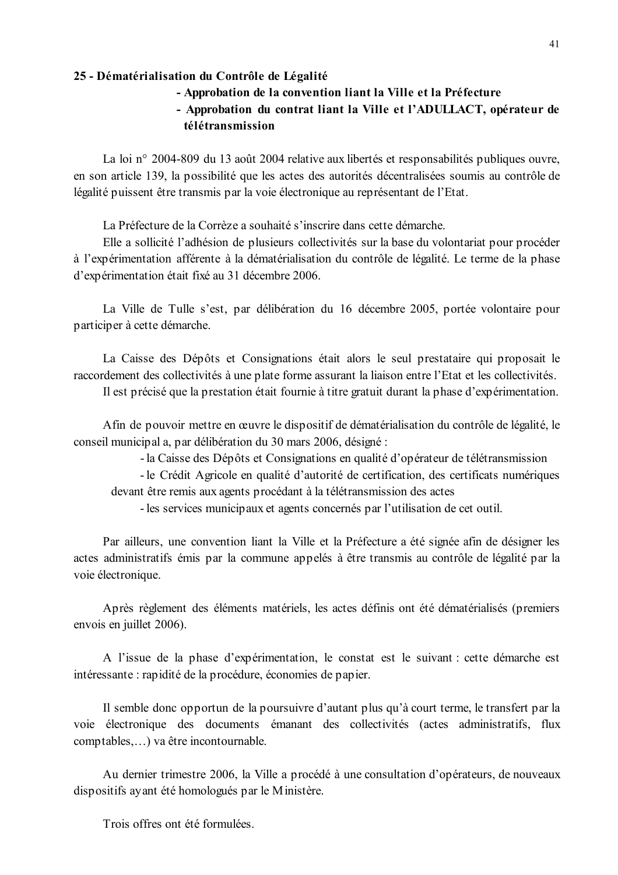#### 25 - Dématérialisation du Contrôle de Légalité

- Approbation de la convention liant la Ville et la Préfecture
- Approbation du contrat liant la Ville et l'ADULLACT, opérateur de télétransmission

La loi n° 2004-809 du 13 août 2004 relative aux libertés et responsabilités publiques ouvre, en son article 139, la possibilité que les actes des autorités décentralisées soumis au contrôle de légalité puissent être transmis par la voie électronique au représentant de l'Etat.

La Préfecture de la Corrèze a souhaité s'inscrire dans cette démarche.

Elle a sollicité l'adhésion de plusieurs collectivités sur la base du volontariat pour procéder à l'expérimentation afférente à la dématérialisation du contrôle de légalité. Le terme de la phase d'expérimentation était fixé au 31 décembre 2006.

La Ville de Tulle s'est, par délibération du 16 décembre 2005, portée volontaire pour participer à cette démarche.

La Caisse des Dépôts et Consignations était alors le seul prestataire qui proposait le raccordement des collectivités à une plate forme assurant la liaison entre l'Etat et les collectivités.

Il est précisé que la prestation était fournie à titre gratuit durant la phase d'expérimentation.

Afin de pouvoir mettre en œuvre le dispositif de dématérialisation du contrôle de légalité, le conseil municipal a, par délibération du 30 mars 2006, désigné :

- la Caisse des Dépôts et Consignations en qualité d'opérateur de télétransmission

- le Crédit Agricole en qualité d'autorité de certification, des certificats numériques devant être remis aux agents procédant à la télétransmission des actes

- les services municipaux et agents concernés par l'utilisation de cet outil.

Par ailleurs, une convention liant la Ville et la Préfecture a été signée afin de désigner les actes administratifs émis par la commune appelés à être transmis au contrôle de légalité par la voie électronique.

Après règlement des éléments matériels, les actes définis ont été dématérialisés (premiers envois en juillet 2006).

A l'issue de la phase d'expérimentation, le constat est le suivant : cette démarche est intéressante : rapidité de la procédure, économies de papier.

Il semble donc opportun de la poursuivre d'autant plus qu'à court terme, le transfert par la voie électronique des documents émanant des collectivités (actes administratifs, flux comptables....) va être incontournable.

Au dernier trimestre 2006, la Ville a procédé à une consultation d'opérateurs, de nouveaux dispositifs ayant été homologués par le Ministère.

Trois offres ont été formulées.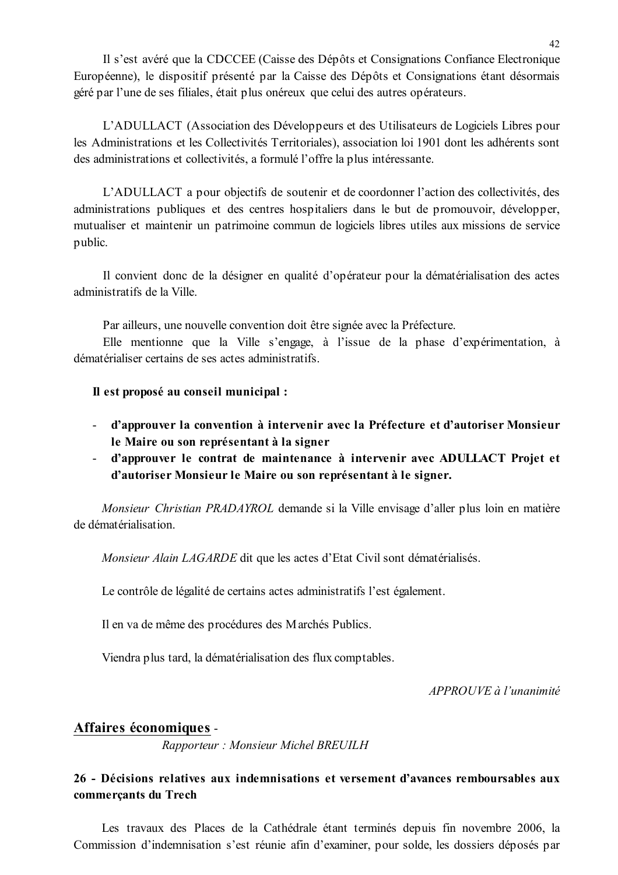Il s'est avéré que la CDCCEE (Caisse des Dépôts et Consignations Confiance Electronique Européenne), le dispositif présenté par la Caisse des Dépôts et Consignations étant désormais géré par l'une de ses filiales, était plus onéreux que celui des autres opérateurs.

L'ADULLACT (Association des Développeurs et des Utilisateurs de Logiciels Libres pour les Administrations et les Collectivités Territoriales), association loi 1901 dont les adhérents sont des administrations et collectivités, a formulé l'offre la plus intéressante.

L'ADULLACT a pour objectifs de soutenir et de coordonner l'action des collectivités, des administrations publiques et des centres hospitaliers dans le but de promouvoir, développer, mutualiser et maintenir un patrimoine commun de logiciels libres utiles aux missions de service public.

Il convient donc de la désigner en qualité d'opérateur pour la dématérialisation des actes administratifs de la Ville

Par ailleurs, une nouvelle convention doit être signée avec la Préfecture.

Elle mentionne que la Ville s'engage, à l'issue de la phase d'expérimentation, à dématérialiser certains de ses actes administratifs.

#### Il est proposé au conseil municipal :

- d'approuver la convention à intervenir avec la Préfecture et d'autoriser Monsieur le Maire ou son représentant à la signer
- d'approuver le contrat de maintenance à intervenir avec ADULLACT Projet et d'autoriser Monsieur le Maire ou son représentant à le signer.

Monsieur Christian PRADAYROL demande si la Ville envisage d'aller plus loin en matière de dématérialisation.

Monsieur Alain LAGARDE dit que les actes d'Etat Civil sont dématérialisés.

Le contrôle de légalité de certains actes administratifs l'est également.

Il en va de même des procédures des Marchés Publics.

Viendra plus tard, la dématérialisation des flux comptables.

APPROUVE à l'unanimité

### Affaires économiques -

Rapporteur: Monsieur Michel BREUILH

# 26 - Décisions relatives aux indemnisations et versement d'avances remboursables aux commerçants du Trech

Les travaux des Places de la Cathédrale étant terminés depuis fin novembre 2006, la Commission d'indemnisation s'est réunie afin d'examiner, pour solde, les dossiers déposés par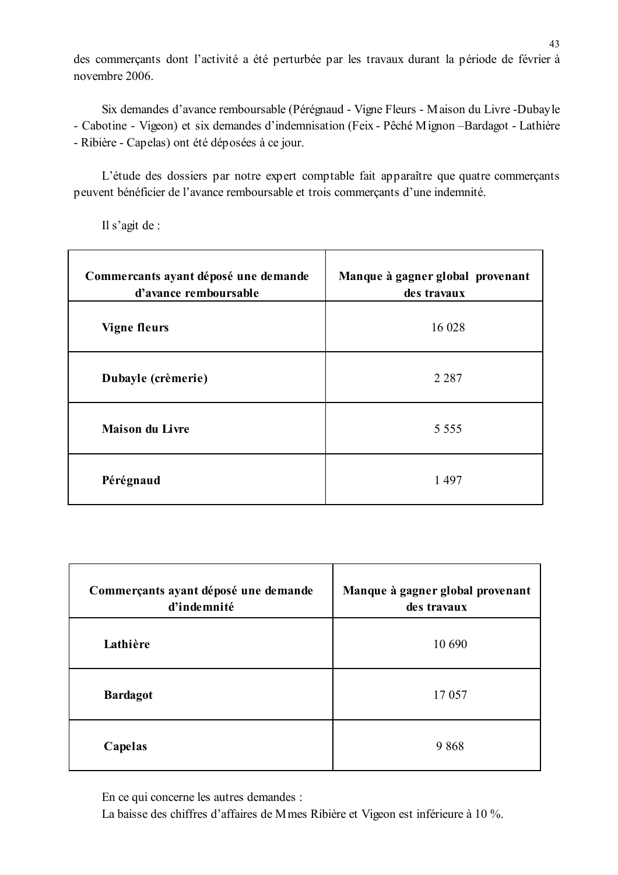des commerçants dont l'activité a été perturbée par les travaux durant la période de février à novembre 2006.

Six demandes d'avance remboursable (Pérégnaud - Vigne Fleurs - Maison du Livre -Dubayle - Cabotine - Vigeon) et six demandes d'indemnisation (Feix - Pêché Mignon - Bardagot - Lathière - Ribière - Capelas) ont été déposées à ce jour.

L'étude des dossiers par notre expert comptable fait apparaître que quatre commerçants peuvent bénéficier de l'avance remboursable et trois commerçants d'une indemnité.

Il s'agit de :

| Commercants ayant déposé une demande<br>d'avance remboursable | Manque à gagner global provenant<br>des travaux |
|---------------------------------------------------------------|-------------------------------------------------|
| <b>Vigne fleurs</b>                                           | 16 028                                          |
| Dubayle (crèmerie)                                            | 2 2 8 7                                         |
| <b>Maison du Livre</b>                                        | 5 5 5 5 5                                       |
| Pérégnaud                                                     | 1497                                            |

| Commerçants ayant déposé une demande<br>d'indemnité | Manque à gagner global provenant<br>des travaux |  |
|-----------------------------------------------------|-------------------------------------------------|--|
| Lathière                                            | 10 690                                          |  |
| <b>Bardagot</b>                                     | 17057                                           |  |
| Capelas                                             | 9868                                            |  |

En ce qui concerne les autres demandes :

La baisse des chiffres d'affaires de M mes Ribière et Vigeon est inférieure à 10 %.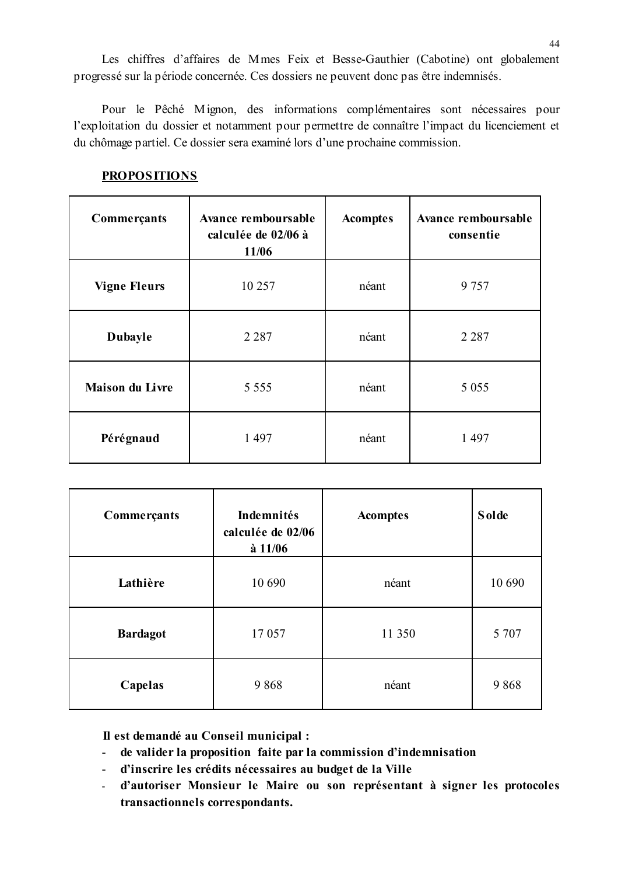Les chiffres d'affaires de Mmes Feix et Besse-Gauthier (Cabotine) ont globalement progressé sur la période concernée. Ces dossiers ne peuvent donc pas être indemnisés.

Pour le Pêché Mignon, des informations complémentaires sont nécessaires pour l'exploitation du dossier et notamment pour permettre de connaître l'impact du licenciement et du chômage partiel. Ce dossier sera examiné lors d'une prochaine commission.

| Commerçants            | <b>Avance remboursable</b><br>calculée de 02/06 à<br>11/06 | <b>Acomptes</b> | Avance remboursable<br>consentie |
|------------------------|------------------------------------------------------------|-----------------|----------------------------------|
| <b>Vigne Fleurs</b>    | 10 257                                                     | néant           | 9 7 5 7                          |
| <b>Dubayle</b>         | 2 2 8 7                                                    | néant           | 2 2 8 7                          |
| <b>Maison du Livre</b> | 5 5 5 5 5                                                  | néant           | 5 0 5 5                          |
| Pérégnaud              | 1 4 9 7                                                    | néant           | 1 4 9 7                          |

### **PROPOSITIONS**

| Commerçants     | Indemnités<br>calculée de 02/06<br>$\hat{a}$ 11/06 | <b>Acomptes</b> | <b>Solde</b> |
|-----------------|----------------------------------------------------|-----------------|--------------|
| Lathière        | 10 690                                             | néant           | 10 690       |
| <b>Bardagot</b> | 17 057                                             | 11 350          | 5 707        |
| Capelas         | 9868                                               | néant           | 9868         |

Il est demandé au Conseil municipal :

- de valider la proposition faite par la commission d'indemnisation  $\omega_{\rm{max}}$
- d'inscrire les crédits nécessaires au budget de la Ville
- d'autoriser Monsieur le Maire ou son représentant à signer les protocoles  $\omega_{\rm{max}}$ transactionnels correspondants.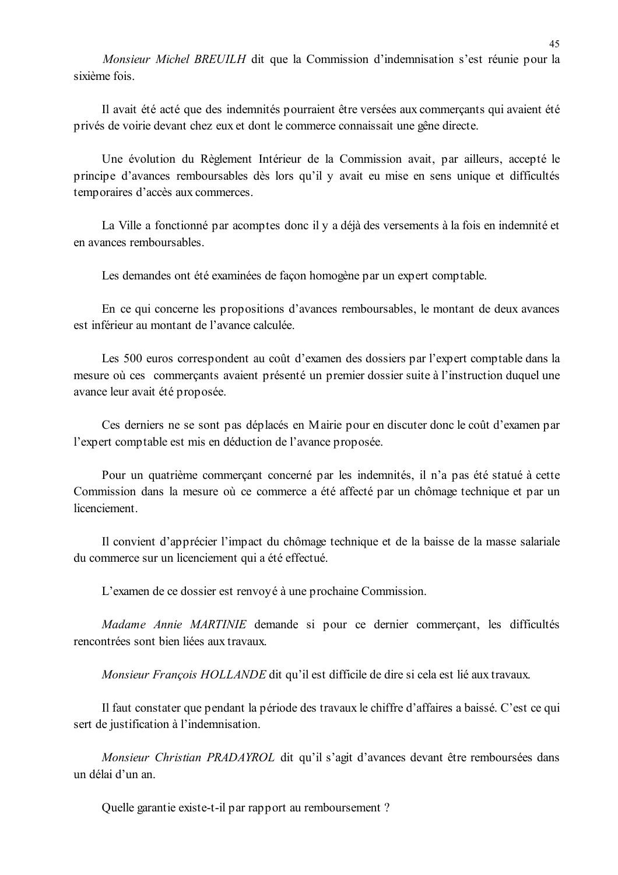Monsieur Michel BREUILH dit que la Commission d'indemnisation s'est réunie pour la sixième fois

Il avait été acté que des indemnités pourraient être versées aux commercants qui avaient été privés de voirie devant chez eux et dont le commerce connaissait une gêne directe.

Une évolution du Règlement Intérieur de la Commission avait, par ailleurs, accepté le principe d'avances remboursables dès lors qu'il y avait eu mise en sens unique et difficultés temporaires d'accès aux commerces.

La Ville a fonctionné par acomptes donc il y a déjà des versements à la fois en indemnité et en avances remboursables.

Les demandes ont été examinées de façon homogène par un expert comptable.

En ce qui concerne les propositions d'avances remboursables, le montant de deux avances est inférieur au montant de l'avance calculée

Les 500 euros correspondent au coût d'examen des dossiers par l'expert comptable dans la mesure où ces commerçants avaient présenté un premier dossier suite à l'instruction duquel une avance leur avait été proposée.

Ces derniers ne se sont pas déplacés en Mairie pour en discuter donc le coût d'examen par l'expert comptable est mis en déduction de l'avance proposée.

Pour un quatrième commercant concerné par les indemnités, il n'a pas été statué à cette Commission dans la mesure où ce commerce a été affecté par un chômage technique et par un licenciement

Il convient d'apprécier l'impact du chômage technique et de la baisse de la masse salariale du commerce sur un licenciement qui a été effectué.

L'examen de ce dossier est renvoyé à une prochaine Commission.

Madame Annie MARTINIE demande si pour ce dernier commerçant, les difficultés rencontrées sont bien liées aux travaux.

Monsieur François HOLLANDE dit qu'il est difficile de dire si cela est lié aux travaux.

Il faut constater que pendant la période des travaux le chiffre d'affaires a baissé. C'est ce qui sert de justification à l'indemnisation.

Monsieur Christian PRADAYROL dit qu'il s'agit d'avances devant être remboursées dans un délai d'un an.

Quelle garantie existe-t-il par rapport au remboursement ?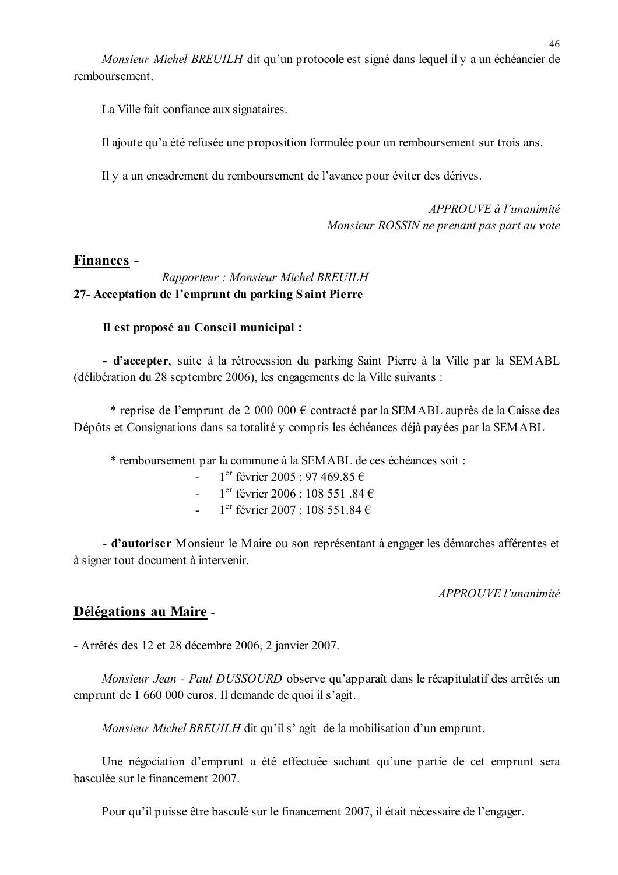Monsieur Michel BREUILH dit qu'un protocole est signé dans lequel il y a un échéancier de remboursement

La Ville fait confiance aux signataires.

Il ajoute qu'a été refusée une proposition formulée pour un remboursement sur trois ans.

Il y a un encadrement du remboursement de l'avance pour éviter des dérives.

APPROUVE à l'unanimité Monsieur ROSSIN ne prenant pas part au vote

### Finances -

# Rapporteur: Monsieur Michel BREUILH 27- Acceptation de l'emprunt du parking Saint Pierre

### Il est proposé au Conseil municipal :

- d'accepter, suite à la rétrocession du parking Saint Pierre à la Ville par la SEMABL (délibération du 28 septembre 2006), les engagements de la Ville suivants :

\* reprise de l'emprunt de 2 000 000 € contracté par la SEMABL auprès de la Caisse des Dépôts et Consignations dans sa totalité y compris les échéances déjà payées par la SEMABL

\* remboursement par la commune à la SEMABL de ces échéances soit :

- $1^{\text{er}}$  février 2005 : 97 469.85  $\in$
- $1^{\text{er}}$  février 2006 : 108 551 84 €
- $1<sup>er</sup>$  février 2007 : 108 551 84 €  $\Delta \sim 10^4$

- d'autoriser Monsieur le Maire ou son représentant à engager les démarches afférentes et à signer tout document à intervenir.

### APPROUVE l'unanimité

# Délégations au Maire -

- Arrêtés des 12 et 28 décembre 2006, 2 janvier 2007.

Monsieur Jean - Paul DUSSOURD observe qu'apparaît dans le récapitulatif des arrêtés un emprunt de 1 660 000 euros. Il demande de quoi il s'agit.

Monsieur Michel BREUILH dit qu'il s' agit de la mobilisation d'un emprunt.

Une négociation d'emprunt a été effectuée sachant qu'une partie de cet emprunt sera basculée sur le financement 2007.

Pour qu'il puisse être basculé sur le financement 2007, il était nécessaire de l'engager.